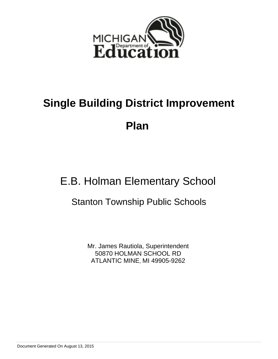

# E.B. Holman Elementary School

# Stanton Township Public Schools

Mr. James Rautiola, Superintendent 50870 HOLMAN SCHOOL RD ATLANTIC MINE, MI 49905-9262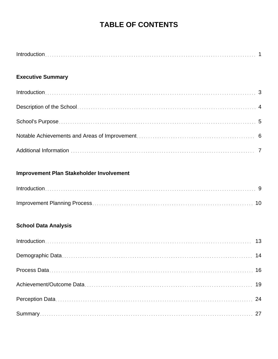# **TABLE OF CONTENTS**

# **Executive Summary**

# **Improvement Plan Stakeholder Involvement**

# **School Data Analysis**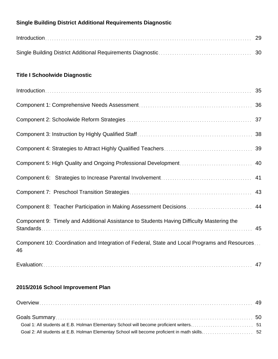# **Single Building District Additional Requirements Diagnostic**

| $Introduction \dots 29$ |  |
|-------------------------|--|
|                         |  |

# **Title I Schoolwide Diagnostic**

| $Introduction \dots 35$                                                                             |  |
|-----------------------------------------------------------------------------------------------------|--|
|                                                                                                     |  |
|                                                                                                     |  |
|                                                                                                     |  |
|                                                                                                     |  |
|                                                                                                     |  |
|                                                                                                     |  |
|                                                                                                     |  |
| Component 8: Teacher Participation in Making Assessment Decisions 44                                |  |
| Component 9: Timely and Additional Assistance to Students Having Difficulty Mastering the           |  |
| Component 10: Coordination and Integration of Federal, State and Local Programs and Resources<br>46 |  |
|                                                                                                     |  |

# **2015/2016 School Improvement Plan**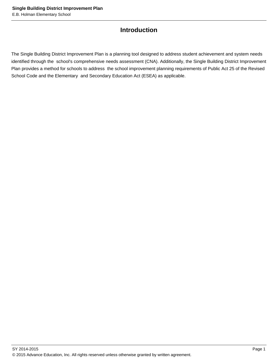# **Introduction**

The Single Building District Improvement Plan is a planning tool designed to address student achievement and system needs identified through the school's comprehensive needs assessment (CNA). Additionally, the Single Building District Improvement Plan provides a method for schools to address the school improvement planning requirements of Public Act 25 of the Revised School Code and the Elementary and Secondary Education Act (ESEA) as applicable.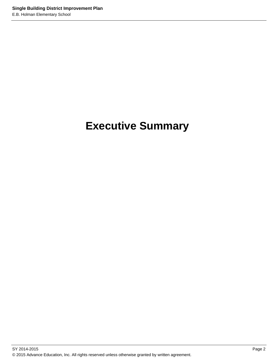# **Executive Summary**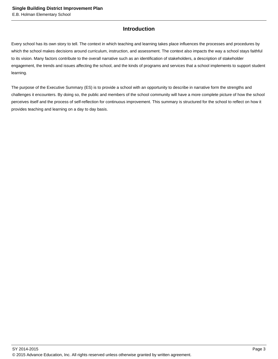# **Introduction**

Every school has its own story to tell. The context in which teaching and learning takes place influences the processes and procedures by which the school makes decisions around curriculum, instruction, and assessment. The context also impacts the way a school stays faithful to its vision. Many factors contribute to the overall narrative such as an identification of stakeholders, a description of stakeholder engagement, the trends and issues affecting the school, and the kinds of programs and services that a school implements to support student learning.

The purpose of the Executive Summary (ES) is to provide a school with an opportunity to describe in narrative form the strengths and challenges it encounters. By doing so, the public and members of the school community will have a more complete picture of how the school perceives itself and the process of self-reflection for continuous improvement. This summary is structured for the school to reflect on how it provides teaching and learning on a day to day basis.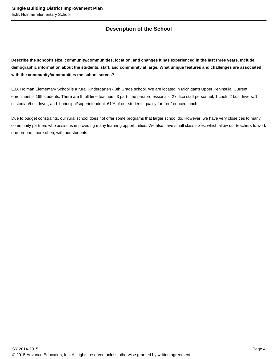# **Description of the School**

**Describe the school's size, community/communities, location, and changes it has experienced in the last three years. Include demographic information about the students, staff, and community at large. What unique features and challenges are associated with the community/communities the school serves?**

E.B. Holman Elementary School is a rural Kindergarten - 8th Grade school. We are located in Michigan's Upper Peninsula. Current enrollment is 165 students. There are 9 full time teachers, 3 part-time paraprofessionals, 2 office staff personnel, 1 cook, 2 bus drivers, 1 custodian/bus driver, and 1 principal/superintendent. 61% of our students qualify for free/reduced lunch.

Due to budget constraints, our rural school does not offer some programs that larger school do. However, we have very close ties to many community partners who assist us in providing many learning opportunities. We also have small class sizes, which allow our teachers to work one-on-one, more often, with our students.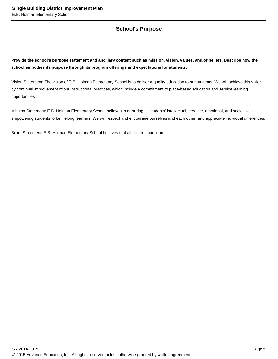# **School's Purpose**

**Provide the school's purpose statement and ancillary content such as mission, vision, values, and/or beliefs. Describe how the school embodies its purpose through its program offerings and expectations for students.**

Vision Statement: The vision of E.B. Holman Elementary School is to deliver a quality education to our students. We will achieve this vision by continual improvement of our instructional practices, which include a commitment to place-based education and service learning opportunities.

Mission Statement: E.B. Holman Elementary School believes in nurturing all students' intellectual, creative, emotional, and social skills; empowering students to be lifelong learners. We will respect and encourage ourselves and each other, and appreciate individual differences.

Belief Statement: E.B. Holman Elementary School believes that all children can learn.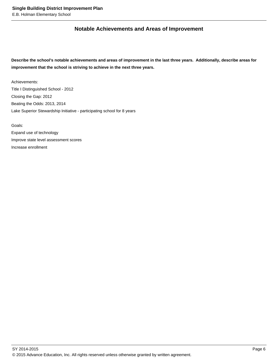# **Notable Achievements and Areas of Improvement**

**Describe the school's notable achievements and areas of improvement in the last three years. Additionally, describe areas for improvement that the school is striving to achieve in the next three years.**

Achievements: Title I Distinguished School - 2012 Closing the Gap: 2012 Beating the Odds: 2013, 2014 Lake Superior Stewardship Initiative - participating school for 8 years

Goals:

Expand use of technology Improve state level assessment scores Increase enrollment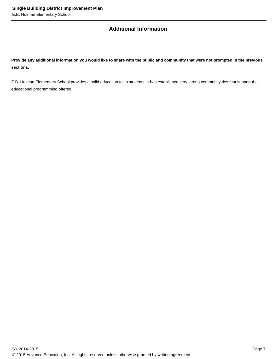# **Additional Information**

**Provide any additional information you would like to share with the public and community that were not prompted in the previous sections.**

E.B. Holman Elementary School provides a solid education to its students. It has established very strong community ties that support the educational programming offered.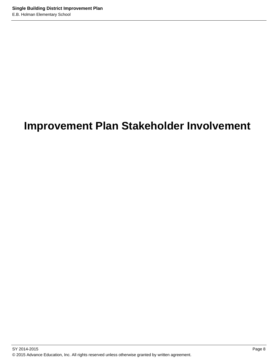# **Improvement Plan Stakeholder Involvement**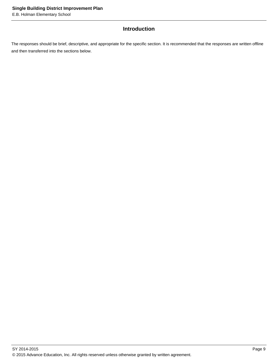# **Introduction**

The responses should be brief, descriptive, and appropriate for the specific section. It is recommended that the responses are written offline and then transferred into the sections below.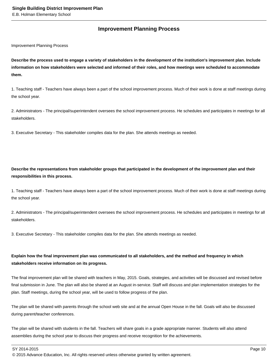# **Improvement Planning Process**

Improvement Planning Process

**Describe the process used to engage a variety of stakeholders in the development of the institution's improvement plan. Include information on how stakeholders were selected and informed of their roles, and how meetings were scheduled to accommodate them.** 

1. Teaching staff - Teachers have always been a part of the school improvement process. Much of their work is done at staff meetings during the school year.

2. Administrators - The principal/superintendent oversees the school improvement process. He schedules and participates in meetings for all stakeholders.

3. Executive Secretary - This stakeholder compiles data for the plan. She attends meetings as needed.

**Describe the representations from stakeholder groups that participated in the development of the improvement plan and their responsibilities in this process.**

1. Teaching staff - Teachers have always been a part of the school improvement process. Much of their work is done at staff meetings during the school year.

2. Administrators - The principal/superintendent oversees the school improvement process. He schedules and participates in meetings for all stakeholders.

3. Executive Secretary - This stakeholder compiles data for the plan. She attends meetings as needed.

# **Explain how the final improvement plan was communicated to all stakeholders, and the method and frequency in which stakeholders receive information on its progress.**

The final improvement plan will be shared with teachers in May, 2015. Goals, strategies, and activities will be discussed and revised before final submission in June. The plan will also be shared at an August in-service. Staff will discuss and plan implementation strategies for the plan. Staff meetings, during the school year, will be used to follow progress of the plan.

The plan will be shared with parents through the school web site and at the annual Open House in the fall. Goals will also be discussed during parent/teacher conferences.

The plan will be shared with students in the fall. Teachers will share goals in a grade appropriate manner. Students will also attend assemblies during the school year to discuss their progress and receive recognition for the achievements.

SY 2014-2015 Page 10

© 2015 Advance Education, Inc. All rights reserved unless otherwise granted by written agreement.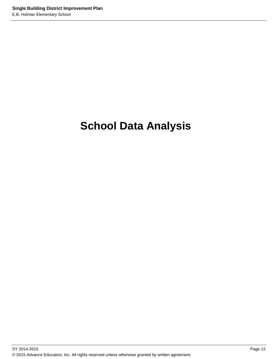# **School Data Analysis**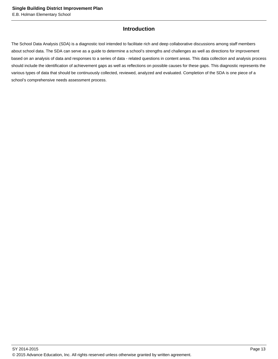# **Introduction**

The School Data Analysis (SDA) is a diagnostic tool intended to facilitate rich and deep collaborative discussions among staff members about school data. The SDA can serve as a guide to determine a school's strengths and challenges as well as directions for improvement based on an analysis of data and responses to a series of data - related questions in content areas. This data collection and analysis process should include the identification of achievement gaps as well as reflections on possible causes for these gaps. This diagnostic represents the various types of data that should be continuously collected, reviewed, analyzed and evaluated. Completion of the SDA is one piece of a school's comprehensive needs assessment process.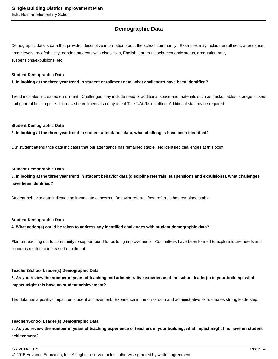# **Demographic Data**

Demographic data is data that provides descriptive information about the school community. Examples may include enrollment, attendance, grade levels, race/ethnicity, gender, students with disabilities, English learners, socio-economic status, graduation rate, suspensions/expulsions, etc.

### **Student Demographic Data**

**1. In looking at the three year trend in student enrollment data, what challenges have been identified?**

Trend indicates increased enrollment. Challenges may include need of additional space and materials such as desks, tables, storage lockers and general building use. Increased enrollment also may affect Title 1/At Risk staffing. Additional staff my be required.

### **Student Demographic Data**

**2. In looking at the three year trend in student attendance data, what challenges have been identified?**

Our student attendance data indicates that our attendance has remained stable. No identified challenges at this point.

### **Student Demographic Data**

**3. In looking at the three year trend in student behavior data (discipline referrals, suspensions and expulsions), what challenges have been identified?**

Student behavior data indicates no immediate concerns. Behavior referrals/non referrals has remained stable.

### **Student Demographic Data**

### **4. What action(s) could be taken to address any identified challenges with student demographic data?**

Plan on reaching out to community to support bond for building improvements. Committees have been formed to explore future needs and concerns related to increased enrollment.

### **Teacher/School Leader(s) Demographic Data**

**5. As you review the number of years of teaching and administrative experience of the school leader(s) in your building, what impact might this have on student achievement?**

The data has a positive impact on student achievement. Experience in the classroom and administrative skills creates strong leadership.

### **Teacher/School Leader(s) Demographic Data**

**6. As you review the number of years of teaching experience of teachers in your building, what impact might this have on student achievement?**

© 2015 Advance Education, Inc. All rights reserved unless otherwise granted by written agreement.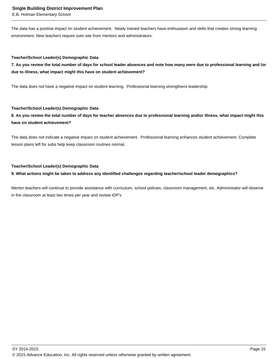E.B. Holman Elementary School

The data has a positive impact on student achievement. Newly trained teachers have enthusiasm and skills that creates strong learning environment. New teachers require over-site from mentors and administrators.

### **Teacher/School Leader(s) Demographic Data**

**7. As you review the total number of days for school leader absences and note how many were due to professional learning and /or due to illness, what impact might this have on student achievement?**

The data does not have a negative impact on student learning. Professional learning strengthens leadership.

### **Teacher/School Leader(s) Demographic Data**

**8. As you review the total number of days for teacher absences due to professional learning and/or illness, what impact might this have on student achievement?**

The data does not indicate a negative impact on student achievement. Professional learning enhances student achievement. Complete lesson plans left for subs help keep classroom routines normal.

### **Teacher/School Leader(s) Demographic Data**

## **9. What actions might be taken to address any identified challenges regarding teacher/school leader demographics?**

Mentor teachers will continue to provide assistance with curriculum, school policies, classroom management, etc. Administrator will observe in the classroom at least two times per year and review IDP's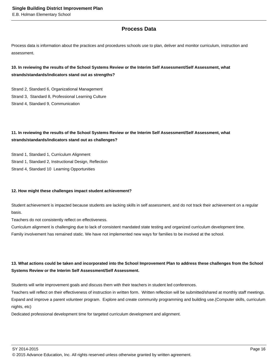# **Process Data**

Process data is information about the practices and procedures schools use to plan, deliver and monitor curriculum, instruction and assessment.

# **10. In reviewing the results of the School Systems Review or the Interim Self Assessment/Self Assessment, what strands/standards/indicators stand out as strengths?**

Strand 2, Standard 6, Organizational Management Strand 3, Standard 8, Professional Learning Culture Strand 4, Standard 9, Communication

# **11. In reviewing the results of the School Systems Review or the Interim Self Assessment/Self Assessment, what strands/standards/indicators stand out as challenges?**

Strand 1, Standard 1, Curriculum Alignment Strand 1, Standard 2, Instructional Design, Reflection Strand 4, Standard 10 Learning Opportunities

## **12. How might these challenges impact student achievement?**

Student achievement is impacted because students are lacking skills in self assessment, and do not track their achievement on a regular basis.

Teachers do not consistently reflect on effectiveness.

Curriculum alignment is challenging due to lack of consistent mandated state testing and organized curriculum development time. Family involvement has remained static. We have not implemented new ways for families to be involved at the school.

# **13. What actions could be taken and incorporated into the School Improvement Plan to address these challenges from the School Systems Review or the Interim Self Assessment/Self Assessment.**

Students will write improvement goals and discuss them with their teachers in student led conferences.

Teachers will reflect on their effectiveness of instruction in written form. Written reflection will be submitted/shared at monthly staff meetings. Expand and improve a parent volunteer program. Explore and create community programming and building use.(Computer skills, curriculum nights, etc)

Dedicated professional development time for targeted curriculum development and alignment.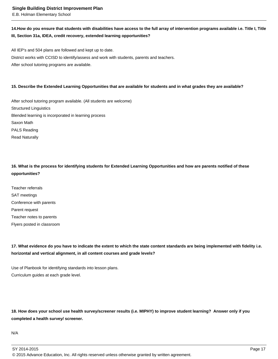# 14. How do you ensure that students with disabilities have access to the full array of intervention programs available i.e. Title I, Title **III, Section 31a, IDEA, credit recovery, extended learning opportunities?**

All IEP's and 504 plans are followed and kept up to date. District works with CCISD to identify/assess and work with students, parents and teachers. After school tutoring programs are available.

## **15. Describe the Extended Learning Opportunities that are available for students and in what grades they are available?**

After school tutoring program available. (All students are welcome) Structured Linguistics Blended learning is incorporated in learning process Saxon Math PALS Reading Read Naturally

**16. What is the process for identifying students for Extended Learning Opportunities and how are parents notified of these opportunities?**

Teacher referrals SAT meetings Conference with parents Parent request Teacher notes to parents Flyers posted in classroom

**17. What evidence do you have to indicate the extent to which the state content standards are being implemented with fidelity i.e. horizontal and vertical alignment, in all content courses and grade levels?** 

Use of Planbook for identifying standards into lesson plans. Curriculum guides at each grade level.

**18. How does your school use health survey/screener results (i.e. MIPHY) to improve student learning? Answer only if you completed a health survey/ screener.**

N/A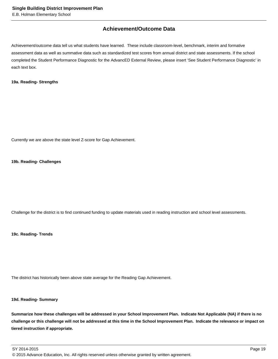# **Achievement/Outcome Data**

Achievement/outcome data tell us what students have learned. These include classroom-level, benchmark, interim and formative assessment data as well as summative data such as standardized test scores from annual district and state assessments. If the school completed the Student Performance Diagnostic for the AdvancED External Review, please insert 'See Student Performance Diagnostic' in each text box.

### **19a. Reading- Strengths**

Currently we are above the state level Z-score for Gap Achievement.

### **19b. Reading- Challenges**

Challenge for the district is to find continued funding to update materials used in reading instruction and school level assessments.

**19c. Reading- Trends**

The district has historically been above state average for the Reading Gap Achievement.

# **19d. Reading- Summary**

**Summarize how these challenges will be addressed in your School Improvement Plan. Indicate Not Applicable (NA) if there is no challenge or this challenge will not be addressed at this time in the School Improvement Plan. Indicate the relevance or impact on tiered instruction if appropriate.**

SY 2014-2015 Page 19 © 2015 Advance Education, Inc. All rights reserved unless otherwise granted by written agreement.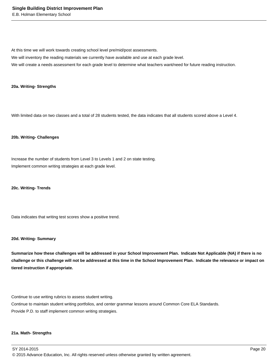At this time we will work towards creating school level pre/mid/post assessments.

We will inventory the reading materials we currently have available and use at each grade level.

We will create a needs assessment for each grade level to determine what teachers want/need for future reading instruction.

### **20a. Writing- Strengths**

With limited data on two classes and a total of 28 students tested, the data indicates that all students scored above a Level 4.

### **20b. Writing- Challenges**

Increase the number of students from Level 3 to Levels 1 and 2 on state testing. Implement common writing strategies at each grade level.

### **20c. Writing- Trends**

Data indicates that writing test scores show a positive trend.

### **20d. Writing- Summary**

**Summarize how these challenges will be addressed in your School Improvement Plan. Indicate Not Applicable (NA) if there is no challenge or this challenge will not be addressed at this time in the School Improvement Plan. Indicate the relevance or impact on tiered instruction if appropriate.**

Continue to use writing rubrics to assess student writing.

Continue to maintain student writing portfolios, and center grammar lessons around Common Core ELA Standards. Provide P.D. to staff implement common writing strategies.

### **21a. Math- Strengths**

SY 2014-2015 Page 20 © 2015 Advance Education, Inc. All rights reserved unless otherwise granted by written agreement.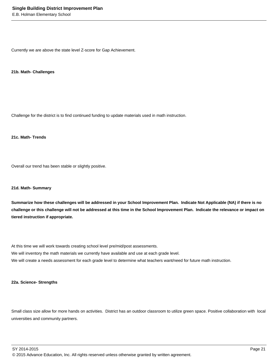Currently we are above the state level Z-score for Gap Achievement.

### **21b. Math- Challenges**

Challenge for the district is to find continued funding to update materials used in math instruction.

## **21c. Math- Trends**

Overall our trend has been stable or slightly positive.

### **21d. Math- Summary**

**Summarize how these challenges will be addressed in your School Improvement Plan. Indicate Not Applicable (NA) if there is no challenge or this challenge will not be addressed at this time in the School Improvement Plan. Indicate the relevance or impact on tiered instruction if appropriate.**

At this time we will work towards creating school level pre/mid/post assessments. We will inventory the math materials we currently have available and use at each grade level. We will create a needs assessment for each grade level to determine what teachers want/need for future math instruction.

### **22a. Science- Strengths**

Small class size allow for more hands on activities. District has an outdoor classroom to utilize green space. Positive collaboration with local universities and community partners.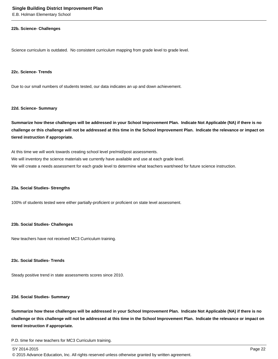#### **22b. Science- Challenges**

Science curriculum is outdated. No consistent curriculum mapping from grade level to grade level.

### **22c. Science- Trends**

Due to our small numbers of students tested, our data indicates an up and down achievement.

#### **22d. Science- Summary**

**Summarize how these challenges will be addressed in your School Improvement Plan. Indicate Not Applicable (NA) if there is no challenge or this challenge will not be addressed at this time in the School Improvement Plan. Indicate the relevance or impact on tiered instruction if appropriate.**

At this time we will work towards creating school level pre/mid/post assessments. We will inventory the science materials we currently have available and use at each grade level. We will create a needs assessment for each grade level to determine what teachers want/need for future science instruction.

### **23a. Social Studies- Strengths**

100% of students tested were either partially-proficient or proficient on state level assessment.

### **23b. Social Studies- Challenges**

New teachers have not received MC3 Curriculum training.

### **23c. Social Studies- Trends**

Steady positive trend in state assessments scores since 2010.

### **23d. Social Studies- Summary**

**Summarize how these challenges will be addressed in your School Improvement Plan. Indicate Not Applicable (NA) if there is no challenge or this challenge will not be addressed at this time in the School Improvement Plan. Indicate the relevance or impact on tiered instruction if appropriate.**

P.D. time for new teachers for MC3 Curriculum training.

© 2015 Advance Education, Inc. All rights reserved unless otherwise granted by written agreement.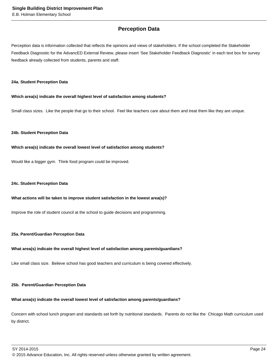# **Perception Data**

Perception data is information collected that reflects the opinions and views of stakeholders. If the school completed the Stakeholder Feedback Diagnostic for the AdvancED External Review, please insert 'See Stakeholder Feedback Diagnostic' in each text box for survey feedback already collected from students, parents and staff.

### **24a. Student Perception Data**

### **Which area(s) indicate the overall highest level of satisfaction among students?**

Small class sizes. Like the people that go to their school. Feel like teachers care about them and treat them like they are unique.

### **24b. Student Perception Data**

### **Which area(s) indicate the overall lowest level of satisfaction among students?**

Would like a bigger gym. Think food program could be improved.

### **24c. Student Perception Data**

### **What actions will be taken to improve student satisfaction in the lowest area(s)?**

Improve the role of student council at the school to guide decisions and programming.

### **25a. Parent/Guardian Perception Data**

### **What area(s) indicate the overall highest level of satisfaction among parents/guardians?**

Like small class size. Believe school has good teachers and curriculum is being covered effectively.

### **25b. Parent/Guardian Perception Data**

# **What area(s) indicate the overall lowest level of satisfaction among parents/guardians?**

Concern with school lunch program and standards set forth by nutritional standards. Parents do not like the Chicago Math curriculum used by district.

<sup>© 2015</sup> Advance Education, Inc. All rights reserved unless otherwise granted by written agreement.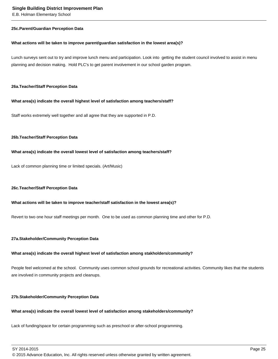### **25c. Parent/Guardian Perception Data**

### **What actions will be taken to improve parent/guardian satisfaction in the lowest area(s)?**

Lunch surveys sent out to try and improve lunch menu and participation. Look into getting the student council involved to assist in menu planning and decision making. Hold PLC's to get parent involvement in our school garden program.

### **26a. Teacher/Staff Perception Data**

### **What area(s) indicate the overall highest level of satisfaction among teachers/staff?**

Staff works extremely well together and all agree that they are supported in P.D.

### **26b. Teacher/Staff Perception Data**

### **What area(s) indicate the overall lowest level of satisfaction among teachers/staff?**

Lack of common planning time or limited specials. (Art/Music)

### **26c. Teacher/Staff Perception Data**

### **What actions will be taken to improve teacher/staff satisfaction in the lowest area(s)?**

Revert to two one hour staff meetings per month. One to be used as common planning time and other for P.D.

### **27a. Stakeholder/Community Perception Data**

### **What area(s) indicate the overall highest level of satisfaction among stakholders/community?**

People feel welcomed at the school. Community uses common school grounds for recreational activities. Community likes that the students are involved in community projects and cleanups.

### **27b. Stakeholder/Community Perception Data**

# **What area(s) indicate the overall lowest level of satisfaction among stakeholders/community?**

Lack of funding/space for certain programming such as preschool or after-school programming.

SY 2014-2015 Page 25

© 2015 Advance Education, Inc. All rights reserved unless otherwise granted by written agreement.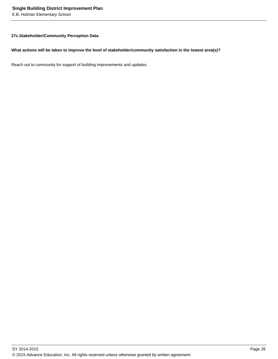## **27c. Stakeholder/Community Perception Data**

### **What actions will be taken to improve the level of stakeholder/community satisfaction in the lowest area(s)?**

Reach out to community for support of building improvements and updates.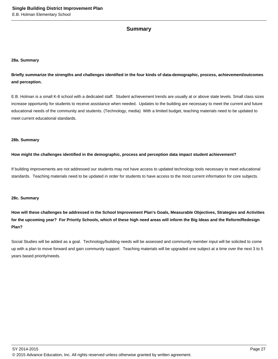# **Summary**

### **28a. Summary**

**Briefly summarize the strengths and challenges identified in the four kinds of data-demographic, process, achievement/outcomes and perception.**

E.B. Holman is a small K-8 school with a dedicated staff. Student achievement trends are usually at or above state levels. Small class sizes increase opportunity for students to receive assistance when needed. Updates to the building are necessary to meet the current and future educational needs of the community and students. (Technology, media) With a limited budget, teaching materials need to be updated to meet current educational standards.

### **28b. Summary**

### **How might the challenges identified in the demographic, process and perception data impact student achievement?**

If building improvements are not addressed our students may not have access to updated technology tools necessary to meet educational standards. Teaching materials need to be updated in order for students to have access to the most current information for core subjects.

### **28c. Summary**

**How will these challenges be addressed in the School Improvement Plan's Goals, Measurable Objectives, Strategies and Activities for the upcoming year? For Priority Schools, which of these high need areas will inform the Big Ideas and the Reform/Redesign Plan?**

Social Studies will be added as a goal. Technology/building needs will be assessed and community member input will be solicited to come up with a plan to move forward and gain community support. Teaching materials will be upgraded one subject at a time over the next 3 to 5 years based priority/needs.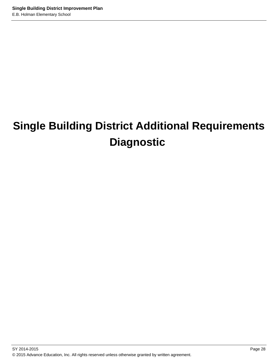# **Single Building District Additional Requirements Diagnostic**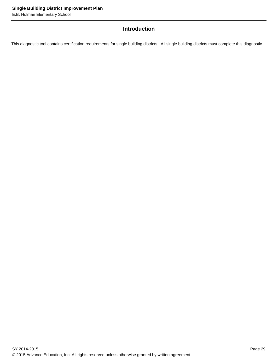# **Introduction**

This diagnostic tool contains certification requirements for single building districts. All single building districts must complete this diagnostic.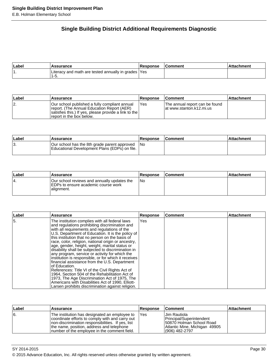# **Single Building District Additional Requirements Diagnostic**

| ∣Label | <b>\ssurance</b>                                              | Response | Comment | achment |
|--------|---------------------------------------------------------------|----------|---------|---------|
|        | Literacy and math are tested annually in grades   Yes<br>ט-י∴ |          |         |         |

| <b>∟abel</b> | Assurance                                                                                                                                                                         | <b>Response</b> | <b>Comment</b>                                              | ∣Attachment |
|--------------|-----------------------------------------------------------------------------------------------------------------------------------------------------------------------------------|-----------------|-------------------------------------------------------------|-------------|
| 12.          | IOur school published a fully compliant annual<br>report. (The Annual Education Report (AER)<br>satisfies this.) If yes, please provide a link to the<br>report in the box below. | Yes             | The annual report can be found<br>lat www.stanton.k12.mi.us |             |

| ∣Label | <b>Assurance</b>                                                                              | <b>Response</b> | <b>Comment</b> | ⊺Attachment |
|--------|-----------------------------------------------------------------------------------------------|-----------------|----------------|-------------|
| 13.    | Our school has the 8th grade parent approved<br>Educational Development Plans (EDPs) on file. | 1No             |                |             |

| ∣Label | <b>Assurance</b>                                                                                  | <b>Response</b> | <b>Comment</b> | ⊺Attachment |
|--------|---------------------------------------------------------------------------------------------------|-----------------|----------------|-------------|
| '4.    | Our school reviews and annually updates the<br>IEDPs to ensure academic course work<br>alignment. | l No            |                |             |

| ∣Label | Assurance                                                                                                                                                                                                                                                                                                                                                                                                                                                                                                                                                                                                                                                                                                                                                                                                                                                           | <b>Response</b> | <b>Comment</b> | <b>Attachment</b> |
|--------|---------------------------------------------------------------------------------------------------------------------------------------------------------------------------------------------------------------------------------------------------------------------------------------------------------------------------------------------------------------------------------------------------------------------------------------------------------------------------------------------------------------------------------------------------------------------------------------------------------------------------------------------------------------------------------------------------------------------------------------------------------------------------------------------------------------------------------------------------------------------|-----------------|----------------|-------------------|
| I5.    | The institution complies with all federal laws<br>and regulations prohibiting discrimination and<br>with all requirements and regulations of the<br>U.S. Department of Education. It is the policy of<br>this institution that no person on the basis of<br>race, color, religion, national origin or ancestry,<br>age, gender, height, weight, marital status or<br>disability shall be subjected to discrimination in<br>any program, service or activity for which the<br>institution is responsible, or for which it receives<br>financial assistance from the U.S. Department<br>of Education.<br>References: Title VI of the Civil Rights Act of<br>1964, Section 504 of the Rehabilitation Act of<br>1973, The Age Discrimination Act of 1975, The<br>Americans with Disabilities Act of 1990, Elliott-<br>Larsen prohibits discrimination against religion. | Yes             |                |                   |

| Label | Assurance                                                                                                                                                                                                                                           | <b>Response</b> | <b>Comment</b>                                                                                                             | ∣Attachment |
|-------|-----------------------------------------------------------------------------------------------------------------------------------------------------------------------------------------------------------------------------------------------------|-----------------|----------------------------------------------------------------------------------------------------------------------------|-------------|
| Ι6.   | The institution has designated an employee to<br>coordinate efforts to comply with and carry out<br>Inon-discrimination responsibilities. If yes, list<br>the name, position, address and telephone<br>number of the employee in the comment field. | <b>IYes</b>     | IJim Rautiola<br>Principal/Superintendent<br>50870 Holman School Road<br>Atlantic Mine, Michigan 49905<br>l (906) 482-2797 |             |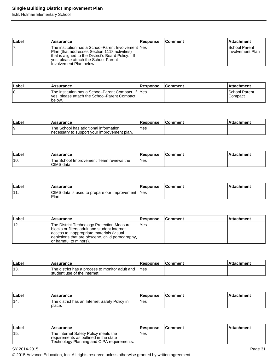E.B. Holman Elementary School

| ∣Label | Assurance                                                                                                                                                                                                                       | <b>Response</b> | <b>Comment</b> | <b>Attachment</b>                                |
|--------|---------------------------------------------------------------------------------------------------------------------------------------------------------------------------------------------------------------------------------|-----------------|----------------|--------------------------------------------------|
| 7.     | The institution has a School-Parent Involvement lYes<br>Plan (that addresses Section 1118 activities)<br>that is aligned to the District's Board Policy. If<br>lyes, please attach the School-Parent<br>Involvement Plan below. |                 |                | <b>ISchool Parent</b><br><b>Involvement Plan</b> |

| ∣Label | Assurance                                                                                                       | <b>Response</b> | <b>Comment</b> | ∣Attachment                       |
|--------|-----------------------------------------------------------------------------------------------------------------|-----------------|----------------|-----------------------------------|
| 18.    | The institution has a School-Parent Compact. If IYes<br>Ives, please attach the School-Parent Compact<br>below. |                 |                | <b>School Parent</b><br>I Compact |

| ∣Labe | Assurance                                                                             | Response   | ⊺Comment | ttachment |
|-------|---------------------------------------------------------------------------------------|------------|----------|-----------|
| 19.   | The School has additional information<br>Inecessary to support your improvement plan. | <b>Yes</b> |          |           |

| Labe | <b>Assurance</b>                                      | Response | ∣Comment | <b>Attachment</b> |
|------|-------------------------------------------------------|----------|----------|-------------------|
| '10. | The School Improvement Team reviews the<br>CIMS data. | Yes      |          |                   |

| Label               | Assurance                                               | <b>Response</b> | <b>Comment</b> | chment<br>∴∆tta |
|---------------------|---------------------------------------------------------|-----------------|----------------|-----------------|
| $\overline{A}$<br>. | CIMS data is used to prepare our Improvement 1<br>Plan. | 'Yes            |                |                 |

| ∣Label | Assurance                                                                                                                                                                                                               | <b>Response</b> | <b>Comment</b> | <b>Attachment</b> |
|--------|-------------------------------------------------------------------------------------------------------------------------------------------------------------------------------------------------------------------------|-----------------|----------------|-------------------|
| ່ 12.  | The District Technology Protection Measure<br>Iblocks or filters adult and student internet<br>access to inappropriate materials (visual<br>depictions that are obscene, child pornography,  <br>or harmful to minors). | Yes             |                |                   |

| Labe | <b>Assurance</b>                                                                | <b>Response</b> | <b>Comment</b> | <b>Attachment</b> |
|------|---------------------------------------------------------------------------------|-----------------|----------------|-------------------|
| ็13. | The district has a process to monitor adult and<br>student use of the internet. | 'Yes            |                |                   |

| ∣Label | Assurance                                               | <b>Response</b> | ∣Comment | ∣Attachment |
|--------|---------------------------------------------------------|-----------------|----------|-------------|
| '14.   | The district has an Internet Safety Policy in<br>place. | Yes             |          |             |

| ∣Label | Assurance                                                                                                                    | <b>Response</b> | l Comment | ∣Attachment∶ |
|--------|------------------------------------------------------------------------------------------------------------------------------|-----------------|-----------|--------------|
| '15.   | The Internet Safety Policy meets the<br>requirements as outlined in the state<br>'Technology Planning and CIPA requirements. | Yes             |           |              |

SY 2014-2015 Page 31

© 2015 Advance Education, Inc. All rights reserved unless otherwise granted by written agreement.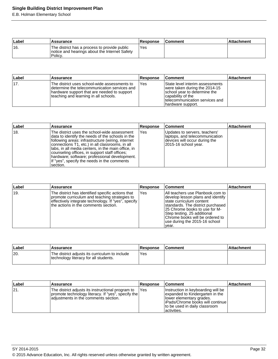E.B. Holman Elementary School

| Label | Assurance                                                                                                | <b>Response</b> | <b>Comment</b> | ∣Attachment |
|-------|----------------------------------------------------------------------------------------------------------|-----------------|----------------|-------------|
| ່ 16. | The district has a process to provide public<br>notice and hearings about the Internet Safety<br>Policy. | 'Yes            |                |             |

| Label | <b>Assurance</b>                                                                                                                                                                     | <b>Response</b> | ⊺Comment                                                                                                                                                                       | <b>Attachment</b> |
|-------|--------------------------------------------------------------------------------------------------------------------------------------------------------------------------------------|-----------------|--------------------------------------------------------------------------------------------------------------------------------------------------------------------------------|-------------------|
| 117.  | The district uses school-wide assessments to<br>determine the telecommunication services and<br>hardware support that are needed to support<br>teaching and learning in all schools. | l Yes           | State level interim assessments<br>were taken during the 2014-15<br>school year to determine the<br>Icapability of the<br>Itelecommunication services and<br>hardware support. |                   |

| Label          | <b>Assurance</b>                                                                                                                                                                                                                                                                                                                                                                                                              | Response | <b>Comment</b>                                                                                                           | <b>Attachment</b> |
|----------------|-------------------------------------------------------------------------------------------------------------------------------------------------------------------------------------------------------------------------------------------------------------------------------------------------------------------------------------------------------------------------------------------------------------------------------|----------|--------------------------------------------------------------------------------------------------------------------------|-------------------|
| <sup>18.</sup> | The district uses the school-wide assessment<br>data to identify the needs of the schools in the<br>following areas: infrastructure (wiring, internet<br>connections T1, etc.) in all classrooms, in all<br>Ilabs, in all media centers, in the main office, in<br>counseling offices, in support staff offices;<br>Ihardware; software; professional development.<br>If "yes", specify the needs in the comments<br>section. | Yes      | Updates to servers, teachers'<br>Iaptops, and telecommunication<br>devices will occur during the<br>2015-16 school year. |                   |

| Label | <b>Assurance</b>                                                                                                                                                                                  | <b>Response</b> | <b>Comment</b>                                                                                                                                                                                                                                                                       | <b>Attachment</b> |
|-------|---------------------------------------------------------------------------------------------------------------------------------------------------------------------------------------------------|-----------------|--------------------------------------------------------------------------------------------------------------------------------------------------------------------------------------------------------------------------------------------------------------------------------------|-------------------|
| 19.   | The district has identified specific actions that<br>promote curriculum and teaching strategies to<br>effectively integrate technology. If "yes", specify<br>the actions in the comments section. | Yes             | All teachers use Planbook.com to<br>develop lesson plans and identify<br>Istate curriculum content<br>standards. The district purchased<br>25 Chrome books to use for M-<br>Step testing. 25 additional<br>Chrome books will be ordered to<br>use during the 2015-16 school<br>year. |                   |

| Label | <b>Assurance</b>                                                                        | <b>Response</b> | <b>Comment</b> | ∣Attachment |
|-------|-----------------------------------------------------------------------------------------|-----------------|----------------|-------------|
| 120.  | The district adjusts its curriculum to include<br>technology literacy for all students. | <b>Yes</b>      |                |             |

| ∣Label | Assurance                                                                                                                                       | <b>Response</b> | ⊺Comment                                                                                                                                                                                   | <b>Attachment</b> |
|--------|-------------------------------------------------------------------------------------------------------------------------------------------------|-----------------|--------------------------------------------------------------------------------------------------------------------------------------------------------------------------------------------|-------------------|
| 21     | The district adjusts its instructional program to<br>promote technology literacy. If "yes", specify the<br>adjustments in the comments section. | <b>IYes</b>     | Instruction in keyboarding will be<br>expanded to Kindergarten in the<br>llower elementary grades.<br> iPads/Chrome books will continue  <br>to be used in daily classroom<br>lactivities. |                   |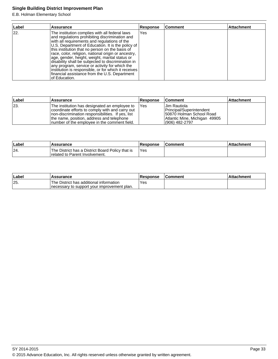E.B. Holman Elementary School

| Label | <b>Assurance</b>                                                                                                                                                                                                                                                                                                                                                                                                                                                                                                                                                                                    | <b>Response</b> | Comment | Attachment |
|-------|-----------------------------------------------------------------------------------------------------------------------------------------------------------------------------------------------------------------------------------------------------------------------------------------------------------------------------------------------------------------------------------------------------------------------------------------------------------------------------------------------------------------------------------------------------------------------------------------------------|-----------------|---------|------------|
| 22.   | The institution complies with all federal laws<br>and regulations prohibiting discrimination and<br>with all requirements and regulations of the<br>U.S. Department of Education. It is the policy of<br>this institution that no person on the basis of<br>race, color, religion, national origin or ancestry,<br>age, gender, height, weight, marital status or<br>disability shall be subjected to discrimination in<br>any program, service or activity for which the<br>institution is responsible, or for which it receives<br>financial assistance from the U.S. Department<br>of Education. | Yes             |         |            |

| ∣Label | <b>Assurance</b>                                                                                                                                                                                                                                    | <b>Response</b> | <b>Comment</b>                                                                                                             | <b>Attachment</b> |
|--------|-----------------------------------------------------------------------------------------------------------------------------------------------------------------------------------------------------------------------------------------------------|-----------------|----------------------------------------------------------------------------------------------------------------------------|-------------------|
| 23     | The institution has designated an employee to<br>coordinate efforts to comply with and carry out<br>Inon-discrimination responsibilities. If yes, list<br>the name, position, address and telephone<br>number of the employee in the comment field. | - IYes          | Uim Rautiola<br>Principal/Superintendent<br>150870 Holman School Road<br>Atlantic Mine, Michigan 49905<br>$(906)$ 482-2797 |                   |

| Label | <b>Assurance</b>                                                                            | Response | <b>Comment</b> | ⊺Attachment |
|-------|---------------------------------------------------------------------------------------------|----------|----------------|-------------|
| 24    | The District has a District Board Policy that is<br><b>I</b> related to Parent Involvement. | 'Yes     |                |             |

| ∣Label | <b>Assurance</b>                                                                         | <b>Response</b> | <b>IComment</b> | <b>Attachment</b> |
|--------|------------------------------------------------------------------------------------------|-----------------|-----------------|-------------------|
| 25.    | 'The District has additional information<br>Inecessary to support your improvement plan. | `Yes            |                 |                   |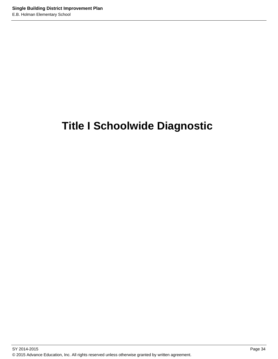# **Title I Schoolwide Diagnostic**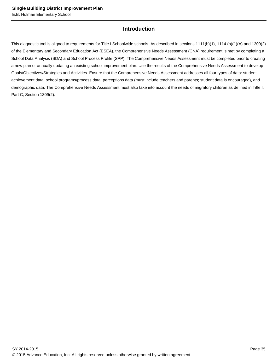# **Introduction**

This diagnostic tool is aligned to requirements for Title I Schoolwide schools. As described in sections 1111(b)(1), 1114 (b)(1)(A) and 1309(2) of the Elementary and Secondary Education Act (ESEA), the Comprehensive Needs Assessment (CNA) requirement is met by completing a School Data Analysis (SDA) and School Process Profile (SPP). The Comprehensive Needs Assessment must be completed prior to creating a new plan or annually updating an existing school improvement plan. Use the results of the Comprehensive Needs Assessment to develop Goals/Objectives/Strategies and Activities. Ensure that the Comprehensive Needs Assessment addresses all four types of data: student achievement data, school programs/process data, perceptions data (must include teachers and parents; student data is encouraged), and demographic data. The Comprehensive Needs Assessment must also take into account the needs of migratory children as defined in Title I, Part C, Section 1309(2).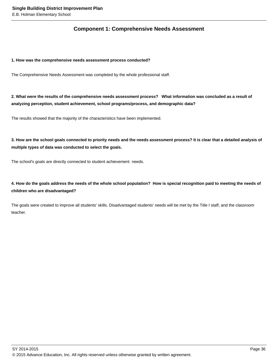# **Component 1: Comprehensive Needs Assessment**

### **1. How was the comprehensive needs assessment process conducted?**

The Comprehensive Needs Assessment was completed by the whole professional staff.

**2. What were the results of the comprehensive needs assessment process? What information was concluded as a result of analyzing perception, student achievement, school programs/process, and demographic data?** 

The results showed that the majority of the characteristics have been implemented.

**3. How are the school goals connected to priority needs and the needs assessment process? It is clear that a detailed analysis of multiple types of data was conducted to select the goals.**

The school's goals are directly connected to student achievement needs.

**4. How do the goals address the needs of the whole school population? How is special recognition paid to meeting the needs of children who are disadvantaged?**

The goals were created to improve all students' skills. Disadvantaged students' needs will be met by the Title I staff, and the classroom teacher.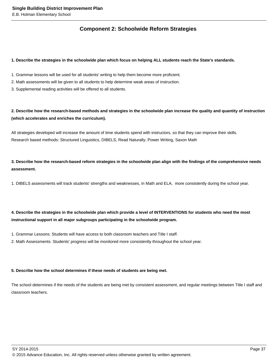# **Component 2: Schoolwide Reform Strategies**

### **1. Describe the strategies in the schoolwide plan which focus on helping ALL students reach the State's standards.**

- 1. Grammar lessons will be used for all students' writing to help them become more proficient.
- 2. Math assessments will be given to all students to help determine weak areas of instruction.
- 3. Supplemental reading activities will be offered to all students.

# **2. Describe how the research-based methods and strategies in the schoolwide plan increase the quality and quantity of instruction (which accelerates and enriches the curriculum).**

All strategies developed will increase the amount of time students spend with instructors, so that they can improve their skills. Research based methods: Structured Linguistics, DIBELS, Read Naturally, Power Writing, Saxon Math

**3. Describe how the research-based reform strategies in the schoolwide plan align with the findings of the comprehensive needs assessment.**

1. DIBELS assessments will track students' strengths and weaknesses, in Math and ELA, more consistently during the school year.

# **4. Describe the strategies in the schoolwide plan which provide a level of INTERVENTIONS for students who need the most instructional support in all major subgroups participating in the schoolwide program.**

- 1. Grammar Lessons: Students will have access to both classroom teachers and Title I staff.
- 2. Math Assessments: Students' progress will be monitored more consistently throughout the school year.

## **5. Describe how the school determines if these needs of students are being met.**

The school determines if the needs of the students are being met by consistent assessment, and regular meetings between Title I staff and classroom teachers.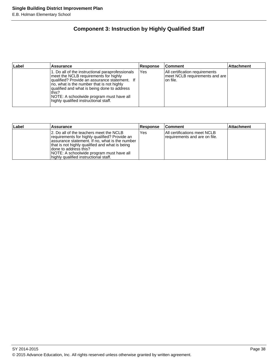# **Component 3: Instruction by Highly Qualified Staff**

| Label | Assurance                                                                                                                                                                                                                                                                                                                             | <b>Response</b> | ∣Comment                                                                      | <b>Attachment</b> |
|-------|---------------------------------------------------------------------------------------------------------------------------------------------------------------------------------------------------------------------------------------------------------------------------------------------------------------------------------------|-----------------|-------------------------------------------------------------------------------|-------------------|
|       | 1. Do all of the instructional paraprofessionals<br>meet the NCLB requirements for highly<br>qualified? Provide an assurance statement. If<br>Ino, what is the number that is not highly<br>qualified and what is being done to address<br>this?<br>NOTE: A schoolwide program must have all<br>highly qualified instructional staff. | Yes             | All certification requirements<br>meet NCLB requirements and are<br>lon file. |                   |

| Label | Assurance                                                                                                                                                                                                                                                                                                     | <b>Response</b> | <b>Comment</b>                                                 | <b>Attachment</b> |
|-------|---------------------------------------------------------------------------------------------------------------------------------------------------------------------------------------------------------------------------------------------------------------------------------------------------------------|-----------------|----------------------------------------------------------------|-------------------|
|       | 12. Do all of the teachers meet the NCLB<br>requirements for highly qualified? Provide an<br>assurance statement. If no, what is the number<br>that is not highly qualified and what is being<br>I done to address this?<br>NOTE: A schoolwide program must have all<br>highly qualified instructional staff. | Yes             | IAII certifications meet NCLB<br>requirements and are on file. |                   |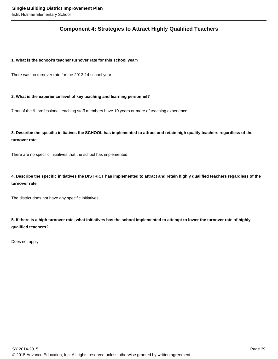# **Component 4: Strategies to Attract Highly Qualified Teachers**

## **1. What is the school's teacher turnover rate for this school year?**

There was no turnover rate for the 2013-14 school year.

### **2. What is the experience level of key teaching and learning personnel?**

7 out of the 9 professional teaching staff members have 10 years or more of teaching experience.

**3. Describe the specific initiatives the SCHOOL has implemented to attract and retain high quality teachers regardless of the turnover rate.**

There are no specific initiatives that the school has implemented.

**4. Describe the specific initiatives the DISTRICT has implemented to attract and retain highly qualified teachers regardless of the turnover rate.** 

The district does not have any specific initiatives.

**5. If there is a high turnover rate, what initiatives has the school implemented to attempt to lower the turnover rate of highly qualified teachers?**

Does not apply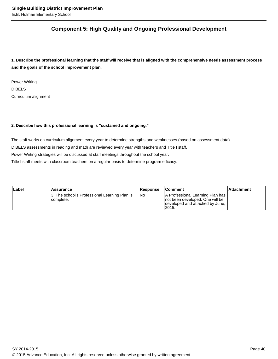# **Component 5: High Quality and Ongoing Professional Development**

**1. Describe the professional learning that the staff will receive that is aligned with the comprehensive needs assessment process and the goals of the school improvement plan.**

Power Writing DIBELS Curriculum alignment

## **2. Describe how this professional learning is "sustained and ongoing."**

The staff works on curriculum alignment every year to determine strengths and weaknesses (based on assessment data) DIBELS assessments in reading and math are reviewed every year with teachers and Title I staff. Power Writing strategies will be discussed at staff meetings throughout the school year. Title I staff meets with classroom teachers on a regular basis to determine program efficacy.

| Label | Assurance                                                  | Response | <b>Comment</b>                                                                                                    | Attachment |
|-------|------------------------------------------------------------|----------|-------------------------------------------------------------------------------------------------------------------|------------|
|       | 3. The school's Professional Learning Plan is<br>complete. | I No     | A Professional Learning Plan has<br>Inot been developed. One will be<br>developed and attached by June,<br>!2015. |            |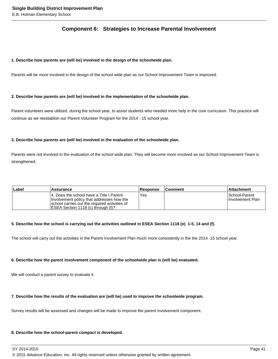# **Component 6: Strategies to Increase Parental Involvement**

### **1. Describe how parents are (will be) involved in the design of the schoolwide plan.**

Parents will be more involved in the design of the school wide plan as our School Improvement Team is improved.

### **2. Describe how parents are (will be) involved in the implementation of the schoolwide plan.**

Parent volunteers were utilized, during the school year, to assist students who needed more help in the core curriculum. This practice will continue as we reestablish our Parent Volunteer Program for the 2014 - 15 school year.

### **3. Describe how parents are (will be) involved in the evaluation of the schoolwide plan.**

Parents were not involved in the evaluation of the school wide plan. They will become more involved as our School Improvement Team is strengthened.

| Label | Assurance                                                                                                                                                                      | <b>Response</b> | <b>Comment</b> | ⊺Attachment                        |
|-------|--------------------------------------------------------------------------------------------------------------------------------------------------------------------------------|-----------------|----------------|------------------------------------|
|       | 14. Does the school have a Title I Parent<br>Involvement policy that addresses how the<br>school carries out the required activities of<br>[ESEA Section 1118 (c) through (f)? | Yes             |                | ISchool-Parent<br>Hnvolvement Plan |

### **5. Describe how the school is carrying out the activities outlined in ESEA Section 1118 (e) 1-5, 14 and (f).**

The school will carry out the activities in the Parent Involvement Plan much more consistently in the the 2014 -15 school year.

### **6. Describe how the parent involvement component of the schoolwide plan is (will be) evaluated.**

We will conduct a parent survey to evaluate it.

### **7. Describe how the results of the evaluation are (will be) used to improve the schoolwide program.**

Survey results will be assessed and changes will be made to improve the parent involvement component.

### **8. Describe how the school-parent compact is developed.**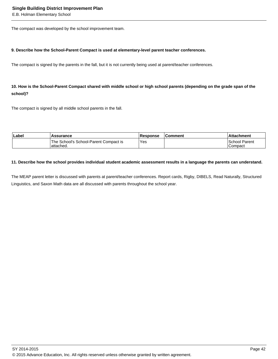The compact was developed by the school improvement team.

### **9. Describe how the School-Parent Compact is used at elementary-level parent teacher conferences.**

The compact is signed by the parents in the fall, but it is not currently being used at parent/teacher conferences.

# **10. How is the School-Parent Compact shared with middle school or high school parents (depending on the grade span of the school)?**

The compact is signed by all middle school parents in the fall.

| Label | Assurance                                          | <b>Response</b> | ∣Comment | <b>Attachment</b>               |
|-------|----------------------------------------------------|-----------------|----------|---------------------------------|
|       | The School's School-Parent Compact is<br>attached. | 'Yes            |          | <b>School Parent</b><br>Compact |

### **11. Describe how the school provides individual student academic assessment results in a language the parents can understand.**

The MEAP parent letter is discussed with parents at parent/teacher conferences. Report cards, Rigby, DIBELS, Read Naturally, Structured Linguistics, and Saxon Math data are all discussed with parents throughout the school year.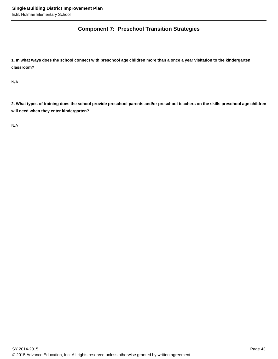# **Component 7: Preschool Transition Strategies**

**1. In what ways does the school connect with preschool age children more than a once a year visitation to the kindergarten classroom?** 

N/A

**2. What types of training does the school provide preschool parents and/or preschool teachers on the skills preschool age children will need when they enter kindergarten?** 

N/A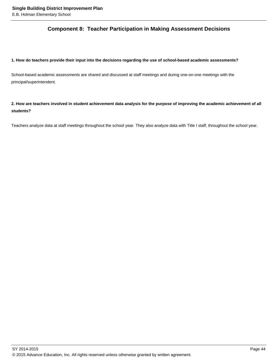# **Component 8: Teacher Participation in Making Assessment Decisions**

# **1. How do teachers provide their input into the decisions regarding the use of school-based academic assessments?**

School-based academic assessments are shared and discussed at staff meetings and during one-on-one meetings with the principal/superintendent.

# **2. How are teachers involved in student achievement data analysis for the purpose of improving the academic achievement of all students?**

Teachers analyze data at staff meetings throughout the school year. They also analyze data with Title I staff, throughout the school year.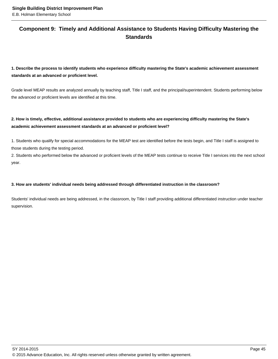# **Component 9: Timely and Additional Assistance to Students Having Difficulty Mastering the Standards**

**1. Describe the process to identify students who experience difficulty mastering the State's academic achievement assessment standards at an advanced or proficient level.**

Grade level MEAP results are analyzed annually by teaching staff, Title I staff, and the principal/superintendent. Students performing below the advanced or proficient levels are identified at this time.

# **2. How is timely, effective, additional assistance provided to students who are experiencing difficulty mastering the State's academic achievement assessment standards at an advanced or proficient level?**

1. Students who qualify for special accommodations for the MEAP test are identified before the tests begin, and Title I staff is assigned to those students during the testing period.

2. Students who performed below the advanced or proficient levels of the MEAP tests continue to receive Title I services into the next school year.

## **3. How are students' individual needs being addressed through differentiated instruction in the classroom?**

Students' individual needs are being addressed, in the classroom, by Title I staff providing additional differentiated instruction under teacher supervision.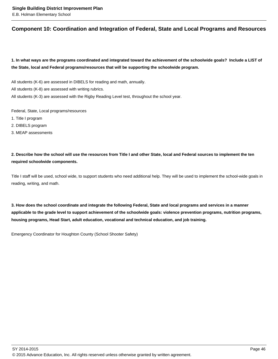# **Component 10: Coordination and Integration of Federal, State and Local Programs and Resources**

**1. In what ways are the programs coordinated and integrated toward the achievement of the schoolwide goals? Include a LIST of the State, local and Federal programs/resources that will be supporting the schoolwide program.**

All students (K-6) are assessed in DIBELS for reading and math, annually.

All students (K-8) are assessed with writing rubrics.

All students (K-3) are assessed with the Rigby Reading Level test, throughout the school year.

Federal, State, Local programs/resources

- 1. Title I program
- 2. DIBELS program
- 3. MEAP assessments

**2. Describe how the school will use the resources from Title I and other State, local and Federal sources to implement the ten required schoolwide components.**

Title I staff will be used, school wide, to support students who need additional help. They will be used to implement the school-wide goals in reading, writing, and math.

**3. How does the school coordinate and integrate the following Federal, State and local programs and services in a manner applicable to the grade level to support achievement of the schoolwide goals: violence prevention programs, nutrition programs, housing programs, Head Start, adult education, vocational and technical education, and job training.** 

Emergency Coordinator for Houghton County (School Shooter Safety)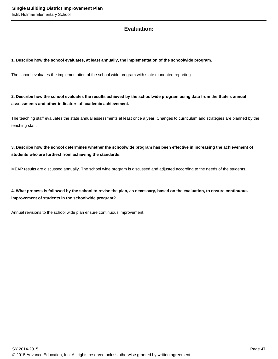# **Evaluation:**

### **1. Describe how the school evaluates, at least annually, the implementation of the schoolwide program.**

The school evaluates the implementation of the school wide program with state mandated reporting.

**2. Describe how the school evaluates the results achieved by the schoolwide program using data from the State's annual assessments and other indicators of academic achievement.**

The teaching staff evaluates the state annual assessments at least once a year. Changes to curriculum and strategies are planned by the teaching staff.

**3. Describe how the school determines whether the schoolwide program has been effective in increasing the achievement of students who are furthest from achieving the standards.**

MEAP results are discussed annually. The school wide program is discussed and adjusted according to the needs of the students.

**4. What process is followed by the school to revise the plan, as necessary, based on the evaluation, to ensure continuous improvement of students in the schoolwide program?**

Annual revisions to the school wide plan ensure continuous improvement.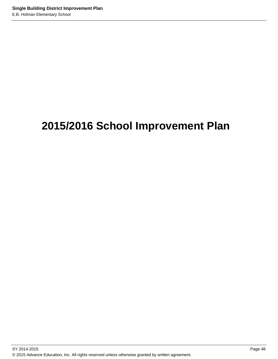# **2015/2016 School Improvement Plan**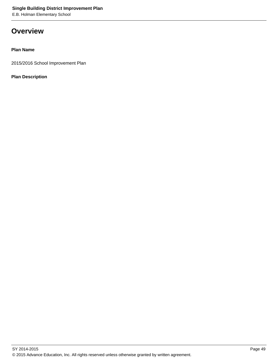# **Overview**

# **Plan Name**

2015/2016 School Improvement Plan

# **Plan Description**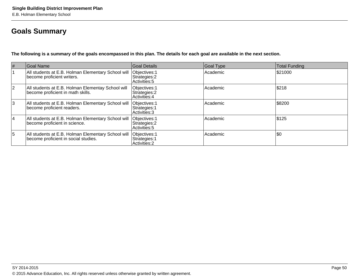# **Goals Summary**

**The following is a summary of the goals encompassed in this plan. The details for each goal are available in the next section.**

| $\vert \#$  | Goal Name                                                                                  | Goal Details                                    | Goal Type | Total Funding |
|-------------|--------------------------------------------------------------------------------------------|-------------------------------------------------|-----------|---------------|
|             | All students at E.B. Holman Elementary School will<br>become proficient writers.           | Objectives: 1<br>Strategies: 2<br>Activities: 5 | Academic  | \$21000       |
| $ 2\rangle$ | All students at E.B. Holman Elementay School will<br>become proficient in math skills.     | Objectives: 1<br>Strategies: 2<br>Activities: 4 | Academic  | \$218         |
| 3           | All students at E.B. Holman Elementary School will<br>become proficient readers.           | Objectives: 1<br>Strategies: 1<br>Activities: 3 | Academic  | \$8200        |
| 14          | All students at E.B. Holman Elementary School will<br>become proficient in science.        | Objectives: 1<br>Strategies: 2<br>Activities: 5 | Academic  | \$125         |
| 5           | All students at E.B. Holman Elementary School will<br>become proficient in social studies. | Objectives: 1<br>Strategies: 1<br>Activities: 2 | Academic  | \$0           |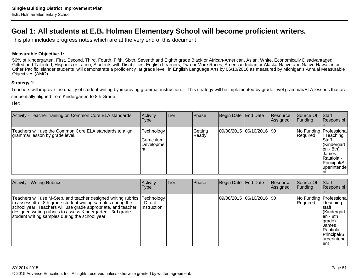# **Goal 1: All students at E.B. Holman Elementary School will become proficient writers.**

This plan includes progress notes which are at the very end of this document

# **Measurable Objective 1:**

56% of Kindergarten, First, Second, Third, Fourth, Fifth, Sixth, Seventh and Eighth grade Black or African-American, Asian, White, Economically Disadvantaged, Gifted and Talented, Hispanic or Latino, Students with Disabilities, English Learners, Two or More Races, American Indian or Alaska Native and Native Hawaiian or Other Pacific Islander students will demonstrate a proficiency at grade level in English Language Arts by 06/10/2016 as measured by Michigan's Annual MeasurableObjectives (AMO)..

## **Strategy 1:**

Teachers will improve the quality of student writing by improving grammar instruction.. - This strategy will be implemented by grade level grammar/ELA lessons that aresequentially aligned from Kindergarten to 8th Grade.

| Activity - Teacher training on Common Core ELA standards                                   | Activity<br>Type                                 | <b>Tier</b> | <b>Phase</b>      | Begin Date End Date        | <b>Resource</b><br> Assigned | Source Of<br><b>Funding</b> | Staff<br>Responsibl                                                                                                                               |
|--------------------------------------------------------------------------------------------|--------------------------------------------------|-------------|-------------------|----------------------------|------------------------------|-----------------------------|---------------------------------------------------------------------------------------------------------------------------------------------------|
| Teachers will use the Common Core ELA standards to align<br>grammar lesson by grade level. | Technology  <br>lCurriculum<br>Developme<br>l nt |             | Getting<br> Ready | 09/08/2015 06/10/2016  \$0 |                              | Required                    | No Funding   Professiona  <br>Teaching<br>Staff<br>Kindergart<br>len - 8th)<br>IJames<br>Rautiola -<br>Principal/S<br><i>l</i> uperintende<br>ınt |

| <b>Activity - Writing Rubrics</b>                                                                                                                                                                                                                                                                                 | Activity<br><b>Type</b>             | Tier | Phase | Begin Date End Date |                             | Resource<br>Assigned | Source Of<br><b>Funding</b> | <b>Staff</b><br>Responsibl                                                                                                                       |
|-------------------------------------------------------------------------------------------------------------------------------------------------------------------------------------------------------------------------------------------------------------------------------------------------------------------|-------------------------------------|------|-------|---------------------|-----------------------------|----------------------|-----------------------------|--------------------------------------------------------------------------------------------------------------------------------------------------|
| Teachers will use M-Step, and teacher designed writing rubrics<br>to assess 4th - 8th grade student writing samples during the<br>school year. Teachers will use grade appropriate, and teacher<br>designed writing rubrics to assess Kindergarten - 3rd grade<br>student writing samples during the school year. | Technology<br>Direct<br>Instruction |      |       |                     | 09/08/2015  06/10/2016  \$0 |                      | Required                    | No Funding   Professiona<br>I teaching<br>staff<br>Kindergart<br>len - 8th<br>grade)<br>James<br>Rautiola-<br>Principal/S<br>urperintend<br>lent |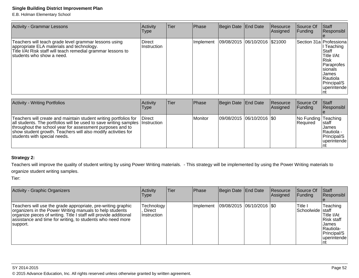E.B. Holman Elementary School

| <b>Activity - Grammar Lessons</b>                                                                                                                                                                | Activity<br>Type      | Tier | Phase      | Begin Date End Date           | Resource<br>Assigned | Source Of<br>Funding | Staff<br>Responsibl                                                                                                                                          |
|--------------------------------------------------------------------------------------------------------------------------------------------------------------------------------------------------|-----------------------|------|------------|-------------------------------|----------------------|----------------------|--------------------------------------------------------------------------------------------------------------------------------------------------------------|
| Teachers will teach grade level grammar lessons using<br>appropriate ELA materials and technology.<br>Title I/At Risk staff will teach remedial grammar lessons to<br>Istudents who show a need. | Direct<br>Instruction |      | Ilmplement | 09/08/2015 06/10/2016 \$21000 |                      |                      | Section 31a   Professiona<br>Teaching<br> Staff<br>Title I/At<br>Risk<br>Paraprofes<br>Isionals<br>IJames<br>Rautiola<br>Principal/S<br>luperintende<br>l nt |
| <b>Activity - Writing Portfolios</b>                                                                                                                                                             | Activity              | Tier | Phase      | Begin Date End Date           | Resource             | Source Of            | Start                                                                                                                                                        |

| Activity - Writing Portfolios                                                                                                                                                                                                                                                                                   | Activity<br>Type | Tier | Phase   | Begin Date   End Date       | Resource<br>Assigned | Source Of<br>IFundina                  | <b>Staff</b><br>Responsibl                                            |
|-----------------------------------------------------------------------------------------------------------------------------------------------------------------------------------------------------------------------------------------------------------------------------------------------------------------|------------------|------|---------|-----------------------------|----------------------|----------------------------------------|-----------------------------------------------------------------------|
| Teachers will create and maintain student writing portfolios for<br>all students. The portfolios will be used to save writing samples Instruction<br>throughout the school year for assessment purposes and to<br>show student growth. Teachers will also modify activities for<br>students with special needs. | <b>IDirect</b>   |      | Monitor | 09/08/2015 06/10/2016   \$0 |                      | No Funding Teaching<br><b>Required</b> | <b>Istaff</b><br>IJames<br>Rautiola -<br>Principal/S<br>  uperintende |

# **Strategy 2:**

Teachers will improve the quality of student writing by using Power Writing materials. - This strategy will be implemented by using the Power Writing materials toorganize student writing samples.

| Activity - Graphic Organizers                                                                                                                                                                                                                                           | Activity<br>Type                    | <b>Tier</b> | <b>Phase</b> | Begin Date End Date           | <b>Resource</b><br>Assigned | lSource Of<br> Fundina        | <b>Staff</b><br>Responsibl                                                                      |
|-------------------------------------------------------------------------------------------------------------------------------------------------------------------------------------------------------------------------------------------------------------------------|-------------------------------------|-------------|--------------|-------------------------------|-----------------------------|-------------------------------|-------------------------------------------------------------------------------------------------|
| Teachers will use the grade appropriate, pre-writing graphic<br>organizers in the Power Writing manuals to help students<br>organize pieces of writing. Title I staff will provide additional<br>assistance and time for writing, to students who need more<br>support. | Technology<br>Direct<br>Instruction |             | Implement    | $ 09/08/2015 06/10/2016 $ \$0 |                             | Title I<br>ISchoolwide Istaff | Teaching<br>Title I/At<br>Risk staff<br>James<br><b>Rautiola-</b><br>Principal/S<br>uperintende |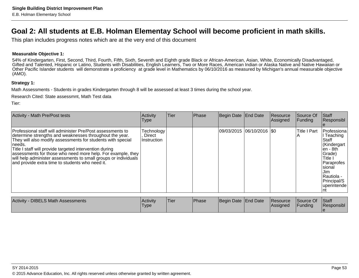# **Goal 2: All students at E.B. Holman Elementay School will become proficient in math skills.**

This plan includes progress notes which are at the very end of this document

# **Measurable Objective 1:**

54% of Kindergarten, First, Second, Third, Fourth, Fifth, Sixth, Seventh and Eighth grade Black or African-American, Asian, White, Economically Disadvantaged, Gifted and Talented, Hispanic or Latino, Students with Disabilities, English Learners, Two or More Races, American Indian or Alaska Native and Native Hawaiian or Other Pacific Islander students will demonstrate a proficiency at grade level in Mathematics by 06/10/2016 as measured by Michigan's annual measurable objective(AMO).

## **Strategy 1:**

Math Assessments - Students in grades Kindergarten through 8 will be assessed at least 3 times during the school year.

Research Cited: State assessmnt, Math Test data

| Activity - Math Pre/Post tests                                                                                                                                                                                                                                                                                                                                                                                                                 | Activity<br><b>Type</b>             | Tier | Phase | Begin Date End Date         | Resource<br>Assigned | Source Of<br>Funding | Staff<br>Responsibl                                                                                                                                               |
|------------------------------------------------------------------------------------------------------------------------------------------------------------------------------------------------------------------------------------------------------------------------------------------------------------------------------------------------------------------------------------------------------------------------------------------------|-------------------------------------|------|-------|-----------------------------|----------------------|----------------------|-------------------------------------------------------------------------------------------------------------------------------------------------------------------|
| Professional staff will administer Pre/Post assessments to<br>determine strengths and weaknesses throughout the year.<br>They will also modify assessments for students with special<br>needs.<br>Title I staff will provide targeted intervention during<br>assessments for those who need more help. For example, they<br>will help administer assessments to small groups or individuals<br>and provide extra time to students who need it. | Technology<br>Direct<br>Instruction |      |       | 09/03/2015 06/10/2016   \$0 |                      | <b>Title I Part</b>  | l Professiona<br>l Teaching<br>Staff<br>Kindergart<br>$en - 8th$<br>Grade)<br>Title I<br>Paraprofes<br>Isional<br>Jim<br>Rautiola -<br>Principal/S<br>uperintende |

| <b>Activity</b><br>- DIBELS Math Assessments | <b>Activity</b><br>'Type | 'Tier | <b>Phase</b> | Begin Date End Date |  | Resource<br><b>IAssigned</b> | Source Of<br><b>IFunding</b> | Staff<br><b>Responsibl</b> |
|----------------------------------------------|--------------------------|-------|--------------|---------------------|--|------------------------------|------------------------------|----------------------------|
|----------------------------------------------|--------------------------|-------|--------------|---------------------|--|------------------------------|------------------------------|----------------------------|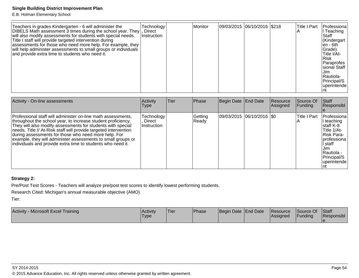E.B. Holman Elementary School

| Teachers in grades Kindergarten - 6 will administer the<br>DIBELS Math assessment 3 times during the school year. They, Direct<br>will also modify assessments for students with special needs.<br>Title I staff will provide targeted intervention during<br>assessments for those who need more help. For example, they<br>will help administer assessments to small groups or individuals<br>and provide extra time to students who need it. | Technology<br>Instruction |  | Monitor |  | 09/03/2015 06/10/2016 \$218 |  | <b>Title I Part</b> | Professiona<br>Teaching<br> Staff<br>Kindergart<br>len - 6th<br>Grade)<br>Title I/At-<br>l Risk<br>Paraprofes<br>sional Staff<br>Jim.<br> Rautiola-<br>Principal/S<br> uperintende |
|-------------------------------------------------------------------------------------------------------------------------------------------------------------------------------------------------------------------------------------------------------------------------------------------------------------------------------------------------------------------------------------------------------------------------------------------------|---------------------------|--|---------|--|-----------------------------|--|---------------------|------------------------------------------------------------------------------------------------------------------------------------------------------------------------------------|
|-------------------------------------------------------------------------------------------------------------------------------------------------------------------------------------------------------------------------------------------------------------------------------------------------------------------------------------------------------------------------------------------------------------------------------------------------|---------------------------|--|---------|--|-----------------------------|--|---------------------|------------------------------------------------------------------------------------------------------------------------------------------------------------------------------------|

| Activity - On-line assessments                                                                                                                                                                                                                                                                                                                                                                                                                         | Activity<br>Type                    | Tier | Phase            | Begin Date End Date         | Resource<br>Assigned | Source Of<br> Funding | <b>Staff</b><br>Responsibl                                                                                                                            |
|--------------------------------------------------------------------------------------------------------------------------------------------------------------------------------------------------------------------------------------------------------------------------------------------------------------------------------------------------------------------------------------------------------------------------------------------------------|-------------------------------------|------|------------------|-----------------------------|----------------------|-----------------------|-------------------------------------------------------------------------------------------------------------------------------------------------------|
| Professional staff will administer on-line math assessments,<br>throughout the school year, to increase student proficiency.<br>They will also modify assessments for students with special<br>needs. Title I/ At-Risk staff will provide targeted intervention<br>during assessments for those who need more help. For<br>example, they will administer assessments to small groups or<br>individuals and provide extra time to students who need it. | Technology<br>Direct<br>Instruction |      | Getting<br>Ready | 09/03/2015 06/10/2016   \$0 |                      | Title I Part          | Professiona<br>I teaching<br>lstaff K-8<br>Title 1/At-<br>Risk Para-<br>Iprofessiona<br>l staff<br>Jim.<br>Rautiola -<br>Principal/S<br>l uperintende |

# **Strategy 2:**

Pre/Post Test Scores - Teachers will analyze pre/post test scores to identify lowest performing students.

Research Cited: Michigan's annual measurable objective (AMO)

| <b>Activity</b><br><b>Microsoft Excel Training</b> | <b>Activity</b><br>Туре | 'Tier | <b>Phase</b> | Begin Date End Date |  | <b>Resource</b><br><b>Assigned</b> | Source Of<br>l Fundina | Staff<br>Responsibl |
|----------------------------------------------------|-------------------------|-------|--------------|---------------------|--|------------------------------------|------------------------|---------------------|
|----------------------------------------------------|-------------------------|-------|--------------|---------------------|--|------------------------------------|------------------------|---------------------|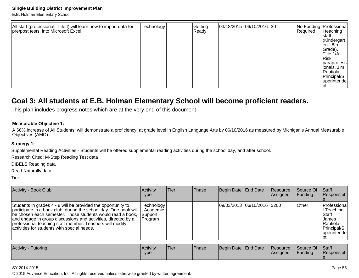E.B. Holman Elementary School

| All staff (professional, Title I) will learn how to import data for<br>pre/post tests, into Microsoft Excel. | Technology | Getting<br>Ready |  | $ 03/18/2015 06/10/2016 $ \$0 |  | Required | No Funding   Professiona  <br>I teaching<br>Istaff<br>Kindergart<br>∣en - 8th<br>Grade),<br>Title 1/At-<br>Risk<br>paraprofess<br>lionals, Jim<br>Rautiola -<br>Principal/S<br> uperintende |
|--------------------------------------------------------------------------------------------------------------|------------|------------------|--|-------------------------------|--|----------|---------------------------------------------------------------------------------------------------------------------------------------------------------------------------------------------|
|--------------------------------------------------------------------------------------------------------------|------------|------------------|--|-------------------------------|--|----------|---------------------------------------------------------------------------------------------------------------------------------------------------------------------------------------------|

# **Goal 3: All students at E.B. Holman Elementary School will become proficient readers.**

This plan includes progress notes which are at the very end of this document

# **Measurable Objective 1:**

A 68% increase of All Students will demonstrate a proficiency at grade level in English Language Arts by 06/10/2016 as measured by Michigan's Annual MeasurableObjectives (AMO)..

## **Strategy 1:**

Supplemental Reading Activities - Students will be offered supplemental reading activities during the school day, and after school.

Research Cited: M-Step Reading Test data

DIBELS Reading data

Read Naturally data

Tier:

| <b>Activity - Book Club</b>                                                                                                                                                                                                                                                                                                                                                  | Activity<br>Type                                     | lTier. | <b>Phase</b> | Begin Date End Date |                             | Resource<br>Assigned | Source Of<br> Funding | <b>Staff</b><br>Responsibl                                                                       |
|------------------------------------------------------------------------------------------------------------------------------------------------------------------------------------------------------------------------------------------------------------------------------------------------------------------------------------------------------------------------------|------------------------------------------------------|--------|--------------|---------------------|-----------------------------|----------------------|-----------------------|--------------------------------------------------------------------------------------------------|
| Students in grades 4 - 8 will be provided the opportunity to<br>participate in a book club, during the school day. One book will  <br>be chosen each semester. Those students would read a book,<br>and engage in group discussions and activities, directed by a<br>professional teaching staff member. Teachers will modify<br>activities for students with special needs. | <b>Technology</b><br>Academic<br>Support<br> Program |        |              |                     | 09/03/2013 06/10/2016 \$200 |                      | <b>Other</b>          | Professiona<br>l Teaching<br>Staff<br>IJames<br>Rautiola-<br>Principal/S<br> uperintende <br>ınt |

| Activity<br>⊺utoring | Activity<br>Type | <sup>1</sup> Tier | Phase | Begin Date End Date |  | Resource<br><b>Assigned</b> | Source Of<br>Funding | Staff<br>lResponsibl |
|----------------------|------------------|-------------------|-------|---------------------|--|-----------------------------|----------------------|----------------------|
|----------------------|------------------|-------------------|-------|---------------------|--|-----------------------------|----------------------|----------------------|

### SY 2014-2015

© 2015 Advance Education, Inc. All rights reserved unless otherwise granted by written agreement.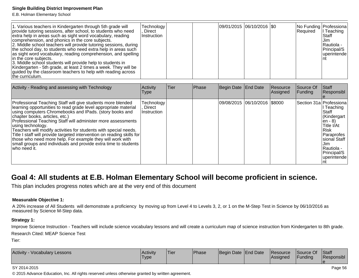E.B. Holman Elementary School

| 1. Various teachers in Kindergarten through 5th grade will<br>provide tutoring sessions, after school, to students who need<br>extra help in areas such as sight word vocabulary, reading<br>comprehension, and phonics in the core subjects.<br>2. Middle school teachers will provide tutoring sessions, during<br>the school day, to students who need extra help in areas such<br>as sight word vocabulary, reading comprehension, and spelling<br>in the core subjects.<br>3. Middle school students will provide help to students in<br>Kindergarten - 5th grade, at least 2 times a week. They will be<br>guided by the classroom teachers to help with reading across<br>the curriculum. | Technology <sup>1</sup><br>Direct<br>Instruction |  |  |  | 09/01/2015 06/10/2016  \$0 |  | Required | No Funding Professiona<br>II Teaching<br>IStaff<br>IJim.<br>lRautiola -<br>Principal/S<br> uperintende |
|--------------------------------------------------------------------------------------------------------------------------------------------------------------------------------------------------------------------------------------------------------------------------------------------------------------------------------------------------------------------------------------------------------------------------------------------------------------------------------------------------------------------------------------------------------------------------------------------------------------------------------------------------------------------------------------------------|--------------------------------------------------|--|--|--|----------------------------|--|----------|--------------------------------------------------------------------------------------------------------|
|--------------------------------------------------------------------------------------------------------------------------------------------------------------------------------------------------------------------------------------------------------------------------------------------------------------------------------------------------------------------------------------------------------------------------------------------------------------------------------------------------------------------------------------------------------------------------------------------------------------------------------------------------------------------------------------------------|--------------------------------------------------|--|--|--|----------------------------|--|----------|--------------------------------------------------------------------------------------------------------|

| Activity - Reading and assessing with Technology                                                                                                                                                                                                                                                                                                                                                                                                                                                                                                                                                               | Activity<br>Type                    | Tier | Phase | Begin Date End Date           | Resource<br>Assigned | Source Of<br> Funding | <b>Staff</b><br>Responsibl                                                                                                                                                               |
|----------------------------------------------------------------------------------------------------------------------------------------------------------------------------------------------------------------------------------------------------------------------------------------------------------------------------------------------------------------------------------------------------------------------------------------------------------------------------------------------------------------------------------------------------------------------------------------------------------------|-------------------------------------|------|-------|-------------------------------|----------------------|-----------------------|------------------------------------------------------------------------------------------------------------------------------------------------------------------------------------------|
| Professional Teaching Staff will give students more blended<br>learning opportunities to read grade level appropriate material<br>using computers Chromebooks and IPads. (story books and<br>chapter books, articles, etc.)<br>Professional Teaching Staff will administer more assessments<br>using technology.<br>Teachers will modify activities for students with special needs.<br>Title I staff will provide targeted intervention on reading skills for<br>those who need more help. For example they will work with<br>small groups and individuals and provide extra time to students<br>who need it. | Technology<br>Direct<br>Instruction |      |       | 09/08/2015 06/10/2016  \$8000 |                      |                       | Section 31a Professiona<br>l Teaching<br>Staff<br>Kindergart<br>len - 8)<br>Title I/At<br><b>Risk</b><br>Paraprofes<br>sional Staff<br>Jim.<br>lRautiola -<br>Principal/S<br>uperintende |

# **Goal 4: All students at E.B. Holman Elementary School will become proficient in science.**

This plan includes progress notes which are at the very end of this document

# **Measurable Objective 1:**

A 20% increase of All Students will demonstrate a proficiency by moving up from Level 4 to Levels 3, 2, or 1 on the M-Step Test in Science by 06/10/2016 asmeasured by Science M-Step data.

# **Strategy 1:**

Improve Science Instruction - Teachers will include science vocabulary lessons and will create a curriculum map of science instruction from Kindergarten to 8th grade.Research Cited: MEAP Science Test

Tier:

| <b>Activity</b><br>Vocabulary Lessons | Activity<br>Type. | <sup>1</sup> Tier | <b>Phase</b> | Begin Date End Date |  | <b>Resource</b><br><b>Assigned</b> | Source Of<br>Funding | Staff<br><b>Responsibl</b> |
|---------------------------------------|-------------------|-------------------|--------------|---------------------|--|------------------------------------|----------------------|----------------------------|
|---------------------------------------|-------------------|-------------------|--------------|---------------------|--|------------------------------------|----------------------|----------------------------|

### SY 2014-2015

© 2015 Advance Education, Inc. All rights reserved unless otherwise granted by written agreement.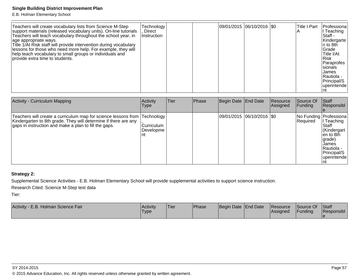E.B. Holman Elementary School

| Teachers will create vocabulary lists from Science M-Step<br>support materials (released vocabulary units). On-line tutorials<br>Teachers will teach vocabulary throughout the school year, in<br>age appropriate ways.<br>Title 1/At Risk staff will provide intervention during vocabulary<br>lessons for those who need more help. For example, they will<br>help teach vocabulary to small groups or individuals and<br>provide extra time to students. | Technology  <br>Direct<br>Instruction |  |  |  | 09/01/2015 06/10/2016  \$0 |  | <b>Title I Part</b> | Professiona<br>l Teaching<br>Staff -<br>Kindergarte<br>In to 8th<br>Grade<br>Title I/At<br>l Risk<br>Paraprofes<br>Isionals<br>James<br>l Rautiola -<br>Principal/S<br>luperintende |
|-------------------------------------------------------------------------------------------------------------------------------------------------------------------------------------------------------------------------------------------------------------------------------------------------------------------------------------------------------------------------------------------------------------------------------------------------------------|---------------------------------------|--|--|--|----------------------------|--|---------------------|-------------------------------------------------------------------------------------------------------------------------------------------------------------------------------------|
|-------------------------------------------------------------------------------------------------------------------------------------------------------------------------------------------------------------------------------------------------------------------------------------------------------------------------------------------------------------------------------------------------------------------------------------------------------------|---------------------------------------|--|--|--|----------------------------|--|---------------------|-------------------------------------------------------------------------------------------------------------------------------------------------------------------------------------|

| <b>Activity - Curriculum Mapping</b>                                                                                                                                                                   | Activity<br><b>Type</b>          | Tier | Phase | Begin Date   End Date       | Resource<br>Assigned | Source Of<br><b>Funding</b> | Staff<br>Responsibl                                                                                                                                                |
|--------------------------------------------------------------------------------------------------------------------------------------------------------------------------------------------------------|----------------------------------|------|-------|-----------------------------|----------------------|-----------------------------|--------------------------------------------------------------------------------------------------------------------------------------------------------------------|
| Teachers will create a curriculum map for science lessons from  Technology<br>Kindergarten to 8th grade. They will determine if there are any<br>gaps in instruction and make a plan to fill the gaps. | Curriculum<br> Developme <br>∣nt |      |       | 09/01/2015  06/10/2016  \$0 |                      | Required                    | No Funding   Professiona  <br>Teaching<br>Staff<br>Kindergart<br>len to 8th<br>(arade<br><b>James</b><br><b>IRautiola -</b><br>Principal/S<br><i>l</i> uperintende |

# **Strategy 2:**

Supplemental Science Activities - E.B. Holman Elementary School will provide supplemental activities to support science instruction.

Research Cited: Science M-Step test data

| Activity - E.B. Holman Science Fair | <b>Activity</b><br>'Type | <sup>I</sup> Tier | <b>Phase</b> | Begin Date End Date |  | <b>Resource</b><br> Assigned | Source Of<br><b>Funding</b> | Staff<br>Responsibl |
|-------------------------------------|--------------------------|-------------------|--------------|---------------------|--|------------------------------|-----------------------------|---------------------|
|-------------------------------------|--------------------------|-------------------|--------------|---------------------|--|------------------------------|-----------------------------|---------------------|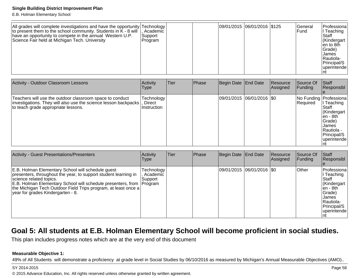E.B. Holman Elementary School

| All grades will complete investigations and have the opportunity Technology<br>to present them to the school community. Students in $K - 8$ will $\parallel$ , Academic<br>have an opportunity to compete in the annual Western U.P.<br>Science Fair held at Michigan Tech. University | Support<br> Program |  |  | 09/01/2015 06/01/2016 \$125 |  | lGeneral<br>lFund | <b>IProfessiona</b><br>Teaching<br>Staff<br>Kindergart<br>len to 8th<br>Grade)<br>James<br>Rautiola-<br>Principal/S<br>uperintende |
|----------------------------------------------------------------------------------------------------------------------------------------------------------------------------------------------------------------------------------------------------------------------------------------|---------------------|--|--|-----------------------------|--|-------------------|------------------------------------------------------------------------------------------------------------------------------------|
|----------------------------------------------------------------------------------------------------------------------------------------------------------------------------------------------------------------------------------------------------------------------------------------|---------------------|--|--|-----------------------------|--|-------------------|------------------------------------------------------------------------------------------------------------------------------------|

| Activity - Outdoor Classroom Lessons                                                                                                                                         | Activity<br>Type          | Tier | Phase | Begin Date   End Date |                            | Resource<br>Assigned | Source Of<br>Funding | <b>Staff</b><br>Responsibl                                                                                                                               |
|------------------------------------------------------------------------------------------------------------------------------------------------------------------------------|---------------------------|------|-------|-----------------------|----------------------------|----------------------|----------------------|----------------------------------------------------------------------------------------------------------------------------------------------------------|
| Teachers will use the outdoor classroom space to conduct<br> investigations. They will also use the science lesson backpacks   Direct<br>to teach grade appropriate lessons. | Technology<br>Instruction |      |       |                       | 09/01/2015 06/01/2016  \$0 |                      | Required             | No Funding   Professiona  <br>II Teaching<br>lStaff<br>Kindergart<br>len - 8th<br>Grade)<br>IJames<br>lRautiola -<br>Principal/S<br><i>l</i> uperintende |

| <b>Activity - Guest Presentations/Presenters</b>                                                                                                                                                                                                                                                                               | Activity<br>Type                    | Tier | Phase | Begin Date End Date         | Resource<br> Assigned | Source Of<br><b>Funding</b> | <b>Staff</b><br>Responsibl                                                                                                    |
|--------------------------------------------------------------------------------------------------------------------------------------------------------------------------------------------------------------------------------------------------------------------------------------------------------------------------------|-------------------------------------|------|-------|-----------------------------|-----------------------|-----------------------------|-------------------------------------------------------------------------------------------------------------------------------|
| E.B. Holman Elementary School will schedule guest<br>presenters, throughout the year, to support student learning in<br>science related topics.<br>E.B. Holman Elementary School will schedule presenters, from Program<br>the Michigan Tech Outdoor Field Trips program, at least once a<br>year for grades Kindergarten - 8. | Technology<br>, Academic<br>Support |      |       | 09/01/2015  06/01/2016  \$0 |                       | <b>Other</b>                | Professiona<br>I Teaching<br>Staff<br>Kindergart<br>len - 8th_<br>Grade)<br>James<br>Rautiola-<br>Principal/S<br>Iuperintende |

# **Goal 5: All students at E.B. Holman Elementary School will become proficient in social studies.**

This plan includes progress notes which are at the very end of this document

## **Measurable Objective 1:**

49% of All Students will demonstrate a proficiency at grade level in Social Studies by 06/10/2016 as measured by Michigan's Annual Measurable Objectives (AMO)..

### SY 2014-2015

© 2015 Advance Education, Inc. All rights reserved unless otherwise granted by written agreement.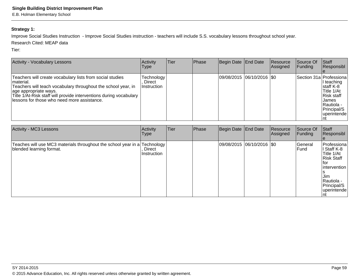# **Strategy 1:**

Improve Social Studies Instruction - Improve Social Studies instruction - teachers will include S.S. vocabulary lessons throughout school year.

Research Cited: MEAP data

| <b>Activity - Vocabulary Lessons</b>                                                                                                                                                                                                                                                  | Activity<br>Type                    | lTier. | Phase | Begin Date End Date         | Resource<br>Assigned | Source Of<br><b>Funding</b> | Staff<br>Responsibl                                                                                                                            |
|---------------------------------------------------------------------------------------------------------------------------------------------------------------------------------------------------------------------------------------------------------------------------------------|-------------------------------------|--------|-------|-----------------------------|----------------------|-----------------------------|------------------------------------------------------------------------------------------------------------------------------------------------|
| Teachers will create vocabulary lists from social studies<br>material.<br>Teachers will teach vocabulary throughout the school year, in<br>age appropriate ways.<br>Title 1/At-Risk staff will provide interventions during vocabulary<br>lessons for those who need more assistance. | Technology<br>Direct<br>Instruction |        |       | 09/08/2015 06/10/2016   \$0 |                      |                             | Section 31a Professiona<br>II teaching<br>staff K-8<br>Title 1/At<br>Risk staff<br>IJames<br>Rautiola -<br>Principal/S<br> uperintende <br>ınt |

| Activity - MC3 Lessons                                                                                | Activity<br><b>Type</b> | Tier | Phase | Begin Date End Date       | Resource<br>Assigned | Source Of<br>Funding | Staff<br>Responsibl                                                                                                                         |
|-------------------------------------------------------------------------------------------------------|-------------------------|------|-------|---------------------------|----------------------|----------------------|---------------------------------------------------------------------------------------------------------------------------------------------|
| Teaches will use MC3 materials throughout the school year in a Technology<br>blended learning format. | Direct<br>Instruction   |      |       | 09/08/2015 06/10/2016 \$0 |                      | General<br>lFund     | Professiona<br>I Staff K-8<br>Title 1/At<br>Risk Staff<br>Itor<br>lintervention<br>IJim.<br>Rautiola -<br>Principal/S<br> uperintende<br>nt |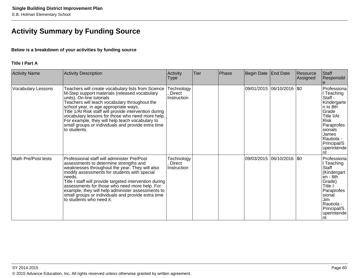# **Activity Summary by Funding Source**

# **Below is a breakdown of your activities by funding source**

# **Title I Part A**

| <b>Activity Name</b>      | Activity Description                                                                                                                                                                                                                                                                                                                                                                                                                                               | Activity<br><b>Type</b>             | Tier | Phase | Begin Date | <b>End Date</b>             | Resource<br>Assigned | Staff<br>Responsibl                                                                                                                                                                       |
|---------------------------|--------------------------------------------------------------------------------------------------------------------------------------------------------------------------------------------------------------------------------------------------------------------------------------------------------------------------------------------------------------------------------------------------------------------------------------------------------------------|-------------------------------------|------|-------|------------|-----------------------------|----------------------|-------------------------------------------------------------------------------------------------------------------------------------------------------------------------------------------|
| <b>Vocabulary Lessons</b> | Teachers will create vocabulary lists from Science<br>M-Step support materials (released vocabulary<br>units). On-line tutorials<br>Teachers will teach vocabulary throughout the<br>school year, in age appropriate ways.<br>Title 1/At Risk staff will provide intervention during<br>vocabulary lessons for those who need more help.<br>For example, they will help teach vocabulary to<br>small groups or individuals and provide extra time<br>lto students. | Technology<br>Direct<br>Instruction |      |       |            | 09/01/2015 06/10/2016 \$0   |                      | Professiona<br>I Teaching<br>Staff -<br>Kindergarte<br>n to 8th<br>Grade<br>Title I/At<br><b>Risk</b><br>Paraprofes<br>sionals<br>James<br>Rautiola -<br>Principal/S<br>uperintende<br>nt |
| Math Pre/Post tests       | Professional staff will administer Pre/Post<br>assessments to determine strengths and<br>weaknesses throughout the year. They will also<br>modify assessments for students with special<br>Ineeds.<br>Title I staff will provide targeted intervention during<br>assessments for those who need more help. For<br>example, they will help administer assessments to<br>small groups or individuals and provide extra time<br>to students who need it.              | Technology<br>Direct<br>Instruction |      |       |            | 09/03/2015 06/10/2016   \$0 |                      | Professiona<br>I Teaching<br>Staff<br>(Kindergart<br>$en - 8th$<br>Grade)<br>Title I<br>Paraprofes<br>sional<br>Jim<br>Rautiola -<br>Principal/S<br>uperintende<br>Int                    |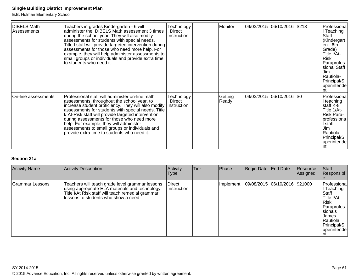E.B. Holman Elementary School

| DIBELS Math<br>Assessments | Teachers in grades Kindergarten - 6 will<br>administer the DIBELS Math assessment 3 times<br>during the school year. They will also modify<br>assessments for students with special needs.<br>Title I staff will provide targeted intervention during<br>assessments for those who need more help. For<br>example, they will help administer assessments to<br>small groups or individuals and provide extra time<br>to students who need it.                | Technology<br>Direct<br>Instruction | Monitor          | 09/03/2015  06/10/2016  \$218 | Professiona<br>I Teaching<br>Staff<br>(Kindergart<br>$en - 6th$<br>Grade)<br>Title I/At-<br>Risk<br>Paraprofes<br>sional Staff<br>Jim.<br>Rautiola-<br>Principal/S<br>uperintende |
|----------------------------|--------------------------------------------------------------------------------------------------------------------------------------------------------------------------------------------------------------------------------------------------------------------------------------------------------------------------------------------------------------------------------------------------------------------------------------------------------------|-------------------------------------|------------------|-------------------------------|-----------------------------------------------------------------------------------------------------------------------------------------------------------------------------------|
| On-line assessments        | Professional staff will administer on-line math<br>assessments, throughout the school year, to<br>increase student proficiency. They will also modify<br>assessments for students with special needs. Title<br>I/ At-Risk staff will provide targeted intervention<br>during assessments for those who need more<br>help. For example, they will administer<br>assessments to small groups or individuals and<br>provide extra time to students who need it. | Technology<br>Direct<br>Instruction | Getting<br>Ready | 09/03/2015  06/10/2016  \$0   | Professiona<br>I teaching<br>staff K-8<br>Title 1/At-<br>Risk Para-<br>professiona<br>İ staff<br>Jim<br>Rautiola -<br>Principal/S<br>uperintende                                  |

# **Section 31a**

| <b>Activity Name</b> | Activity Description                                                                                                                                                                             | Activity<br><b>Type</b>      | Tier | Phase     | Begin Date End Date |                                 | Resource<br><b>Assigned</b> | <b>Staff</b><br>Responsibl                                                                                                                     |
|----------------------|--------------------------------------------------------------------------------------------------------------------------------------------------------------------------------------------------|------------------------------|------|-----------|---------------------|---------------------------------|-----------------------------|------------------------------------------------------------------------------------------------------------------------------------------------|
| Grammar Lessons      | Teachers will teach grade level grammar lessons<br>using appropriate ELA materials and technology.<br>Title I/At Risk staff will teach remedial grammar<br>llessons to students who show a need. | <b>Direct</b><br>Instruction |      | Implement |                     | 09/08/2015  06/10/2016  \$21000 |                             | Professiona<br>I Teaching<br>Staff<br>Title I/At<br>l Risk<br>Paraprofes<br>Isionals<br><b>James</b><br>Rautiola<br>Principal/S<br>uperintende |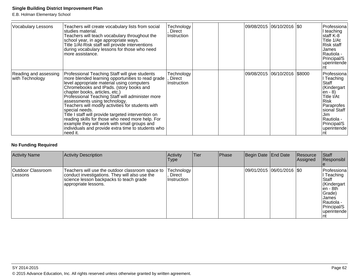E.B. Holman Elementary School

| <b>Vocabulary Lessons</b>                | Teachers will create vocabulary lists from social<br>studies material.<br>Teachers will teach vocabulary throughout the<br>school year, in age appropriate ways.<br>Title 1/At-Risk staff will provide interventions<br>during vocabulary lessons for those who need<br>more assistance.                                                                                                                                                                                                                                                                                                                                | Technology<br>Direct<br>Instruction |  | 09/08/2015 06/10/2016 \$0    | Professiona<br>I teaching<br>staff K-8 <br>Title 1/At<br>Risk staff<br>James<br>Rautiola -<br>Principal/S<br>uperintende<br>Int                                                            |
|------------------------------------------|-------------------------------------------------------------------------------------------------------------------------------------------------------------------------------------------------------------------------------------------------------------------------------------------------------------------------------------------------------------------------------------------------------------------------------------------------------------------------------------------------------------------------------------------------------------------------------------------------------------------------|-------------------------------------|--|------------------------------|--------------------------------------------------------------------------------------------------------------------------------------------------------------------------------------------|
| Reading and assessing<br>with Technology | Professional Teaching Staff will give students<br>more blended learning opportunities to read grade<br>level appropriate material using computers<br>Chromebooks and IPads. (story books and<br>chapter books, articles, etc.)<br>Professional Teaching Staff will administer more<br>assessments using technology.<br>Teachers will modify activities for students with<br>special needs.<br>Title I staff will provide targeted intervention on<br>reading skills for those who need more help. For<br>example they will work with small groups and<br>individuals and provide extra time to students who<br>need it. | Technology<br>Direct<br>Instruction |  | 09/08/2015 06/10/2016 \$8000 | Professiona<br> I Teaching<br>Staff<br>Kindergart<br>$\overline{en}$ - 8)<br>Title I/At<br>Risk<br>Paraprofes<br>sional Staff<br>IJim.<br>Rautiola -<br>Principal/S<br> uperintende<br>Int |

# **No Funding Required**

| <b>Activity Name</b>         | Activity Description                                                                                                                                                  | <b>Activity</b><br><b>Type</b>      | <b>Tier</b> | Phase | Begin Date End Date |                             | Resource<br>Assigned | Staff<br>Responsibl                                                                                                                   |
|------------------------------|-----------------------------------------------------------------------------------------------------------------------------------------------------------------------|-------------------------------------|-------------|-------|---------------------|-----------------------------|----------------------|---------------------------------------------------------------------------------------------------------------------------------------|
| Outdoor Classroom<br>Lessons | Teachers will use the outdoor classroom space to<br>conduct investigations. They will also use the<br>science lesson backpacks to teach grade<br>appropriate lessons. | Technology<br>Direct<br>Instruction |             |       |                     | 09/01/2015 06/01/2016   \$0 |                      | Professiona<br>Teaching<br><b>Staff</b><br>Kindergart<br>len - 8th.<br>Grade)<br>James<br>Rautiola -<br>Principal/S<br>luperintende l |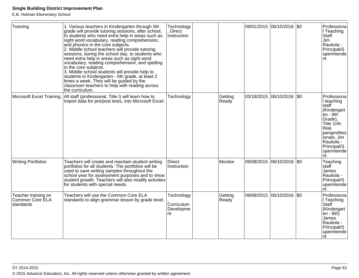E.B. Holman Elementary School

| Tutoring                                            | 1. Various teachers in Kindergarten through 5th<br>grade will provide tutoring sessions, after school,<br>to students who need extra help in areas such as<br>sight word vocabulary, reading comprehension,<br>and phonics in the core subjects.<br>2. Middle school teachers will provide tutoring<br>sessions, during the school day, to students who<br>need extra help in areas such as sight word<br>vocabulary, reading comprehension, and spelling<br>in the core subjects.<br>3. Middle school students will provide help to<br>students in Kindergarten - 5th grade, at least 2<br>times a week. They will be guided by the | Technology<br><b>Direct</b><br>Instruction  |                  |            | 09/01/2015 06/10/2016 \$0 | Professiona<br>I Teaching<br>Staff<br>Jim<br>Rautiola -<br>Principal/S<br>uperintende<br>nt                                                                                                                 |
|-----------------------------------------------------|--------------------------------------------------------------------------------------------------------------------------------------------------------------------------------------------------------------------------------------------------------------------------------------------------------------------------------------------------------------------------------------------------------------------------------------------------------------------------------------------------------------------------------------------------------------------------------------------------------------------------------------|---------------------------------------------|------------------|------------|---------------------------|-------------------------------------------------------------------------------------------------------------------------------------------------------------------------------------------------------------|
|                                                     | classroom teachers to help with reading across<br>the curriculum.                                                                                                                                                                                                                                                                                                                                                                                                                                                                                                                                                                    |                                             |                  |            |                           |                                                                                                                                                                                                             |
| Microsoft Excel Training                            | All staff (professional, Title I) will learn how to<br>import data for pre/post tests, into Microsoft Excel.                                                                                                                                                                                                                                                                                                                                                                                                                                                                                                                         | Technology                                  | Getting<br>Ready |            | 03/18/2015 06/10/2016 \$0 | Professiona<br>I teaching<br><b>staff</b><br>(Kindergart<br>$\overline{\text{en}}$ - 8th<br>Grade),<br>Title 1/At-<br>Risk<br>paraprofess<br>ionals, Jim<br>Rautiola -<br>Principal/S<br>uperintende<br>Int |
| <b>Writing Portfolios</b>                           | Teachers will create and maintain student writing<br>portfolios for all students. The portfolios will be<br>used to save writing samples throughout the<br>school year for assessment purposes and to show<br>student growth. Teachers will also modify activities<br>for students with special needs.                                                                                                                                                                                                                                                                                                                               | Direct<br>Instruction                       | Monitor          | 09/08/2015 | 06/10/2016   \$0          | Teaching<br>staff<br>James<br>Rautiola -<br>Principal/S<br>uperintende<br>nt                                                                                                                                |
| Teacher training on<br>Common Core ELA<br>standards | Teachers will use the Common Core ELA<br>standards to align grammar lesson by grade level.                                                                                                                                                                                                                                                                                                                                                                                                                                                                                                                                           | Technology<br>Curriculum<br>Developme<br>nt | Getting<br>Ready |            | 09/08/2015 06/10/2016 \$0 | Professiona<br>I Teaching<br>Staff<br>(Kindergart<br>$\overline{en}$ - 8th)<br>James<br>Rautiola -<br>Principal/S<br>uperintende<br>Int                                                                     |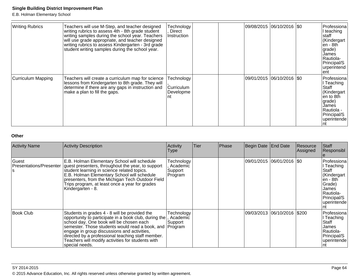E.B. Holman Elementary School

| <b>Writing Rubrics</b>    | Teachers will use M-Step, and teacher designed<br>writing rubrics to assess 4th - 8th grade student<br>writing samples during the school year. Teachers<br>will use grade appropriate, and teacher designed<br>writing rubrics to assess Kindergarten - 3rd grade<br>student writing samples during the school year. | Technology<br>Direct<br><b>Instruction</b>   |  | 09/08/2015  06/10/2016  \$0 | Professiona<br>I teaching<br>staff<br>Kindergart<br>len - 8th<br>grade)<br>James<br>Rautiola-<br>Principal/S<br>lurperintend<br>lentl |
|---------------------------|----------------------------------------------------------------------------------------------------------------------------------------------------------------------------------------------------------------------------------------------------------------------------------------------------------------------|----------------------------------------------|--|-----------------------------|---------------------------------------------------------------------------------------------------------------------------------------|
| <b>Curriculum Mapping</b> | Teachers will create a curriculum map for science<br>lessons from Kindergarten to 8th grade. They will<br>determine if there are any gaps in instruction and<br>make a plan to fill the gaps.                                                                                                                        | Technology<br><b>Curriculum</b><br>Developme |  | 09/01/2015  06/10/2016  \$0 | Professiona<br>I Teaching<br>Staff<br>Kindergart<br>len to 8th<br>grade)<br>James<br> Rautiola -<br>Principal/S<br>uperintende        |

# **Other**

| <b>Activity Name</b>                          | <b>Activity Description</b>                                                                                                                                                                                                                                                                                                                                                              | Activity<br>Type                             | Tier | Phase | Begin Date End Date         |                              | Resource<br> Assigned | Staff<br>Responsibl                                                                                                             |
|-----------------------------------------------|------------------------------------------------------------------------------------------------------------------------------------------------------------------------------------------------------------------------------------------------------------------------------------------------------------------------------------------------------------------------------------------|----------------------------------------------|------|-------|-----------------------------|------------------------------|-----------------------|---------------------------------------------------------------------------------------------------------------------------------|
| Guest<br><b>Presentations/Presenter</b><br>۱S | E.B. Holman Elementary School will schedule<br>guest presenters, throughout the year, to support<br>student learning in science related topics.<br>E.B. Holman Elementary School will schedule<br>presenters, from the Michigan Tech Outdoor Field<br>Trips program, at least once a year for grades<br>Kindergarten - 8.                                                                | Technology<br>Academic<br>Support<br>Program |      |       | 09/01/2015  06/01/2016  \$0 |                              |                       | l Professiona<br>l Teaching<br>Staff<br>(Kindergart<br>len - 8th<br>Grade)<br>James<br>IRautiola-<br>Principal/S<br>uperintende |
| <b>Book Club</b>                              | Students in grades 4 - 8 will be provided the<br>opportunity to participate in a book club, during the<br>school day. One book will be chosen each<br>semester. Those students would read a book, and Program<br>engage in group discussions and activities,<br>directed by a professional teaching staff member.<br>Teachers will modify activities for students with<br>special needs. | Technology<br>Academic<br>Support            |      |       |                             | 09/03/2013 06/10/2016  \$200 |                       | Professiona<br>Teaching<br>Staff<br>James<br>IRautiola-<br>Principal/S<br>uperintende                                           |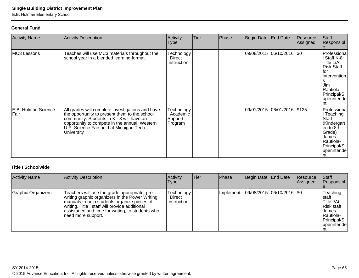E.B. Holman Elementary School

# **General Fund**

| <b>Activity Name</b>        | <b>Activity Description</b>                                                                                                                                                                                                                              | Activity<br><b>Type</b>                      | Tier | Phase | Begin Date | <b>End Date</b>             | Resource<br>Assigned | Staff<br>Responsibl                                                                                                                             |
|-----------------------------|----------------------------------------------------------------------------------------------------------------------------------------------------------------------------------------------------------------------------------------------------------|----------------------------------------------|------|-------|------------|-----------------------------|----------------------|-------------------------------------------------------------------------------------------------------------------------------------------------|
| MC3 Lessons                 | Teaches will use MC3 materials throughout the<br>school year in a blended learning format.                                                                                                                                                               | Technology<br>Direct<br>Instruction          |      |       |            | 09/08/2015 06/10/2016 \$0   |                      | Professiona<br>I Staff K-8<br>Title 1/At<br>Risk Staff<br>lfor<br><i>intervention</i><br>Jim<br>Rautiola -<br>Principal/S<br>uperintende<br>Int |
| E.B. Holman Science<br>Fair | All grades will complete investigations and have<br>the opportunity to present them to the school<br>community. Students in K - 8 will have an<br>opportunity to compete in the annual Western<br>U.P. Science Fair held at Michigan Tech.<br>University | Technology<br>Academic<br>Support<br>Program |      |       |            | 09/01/2015 06/01/2016 \$125 |                      | Professiona<br>I Teaching<br>Staff<br>(Kindergart<br>en to 8th<br>Grade)<br>James<br>Rautiola-<br>Principal/S<br>uperintende<br>Int             |

# **Title I Schoolwide**

| <b>Activity Name</b> | Activity Description                                                                                                                                                                                                                                                        | Activity<br><b>Type</b>             | Tier | <b>Phase</b> | Begin Date End Date           | Resource<br>Assigned | Staff<br>Responsibl                                                                                       |
|----------------------|-----------------------------------------------------------------------------------------------------------------------------------------------------------------------------------------------------------------------------------------------------------------------------|-------------------------------------|------|--------------|-------------------------------|----------------------|-----------------------------------------------------------------------------------------------------------|
| Graphic Organizers   | Teachers will use the grade appropriate, pre-<br>writing graphic organizers in the Power Writing<br>manuals to help students organize pieces of<br>writing. Title I staff will provide additional<br>assistance and time for writing, to students who<br>need more support. | Technology<br>Direct<br>Instruction |      | Implement    | $ 09/08/2015 06/10/2016 $ \$0 |                      | Teaching<br>staff<br>Title I/At<br>Risk staff<br><b>James</b><br>Rautiola-<br>Principal/S<br>luperintende |